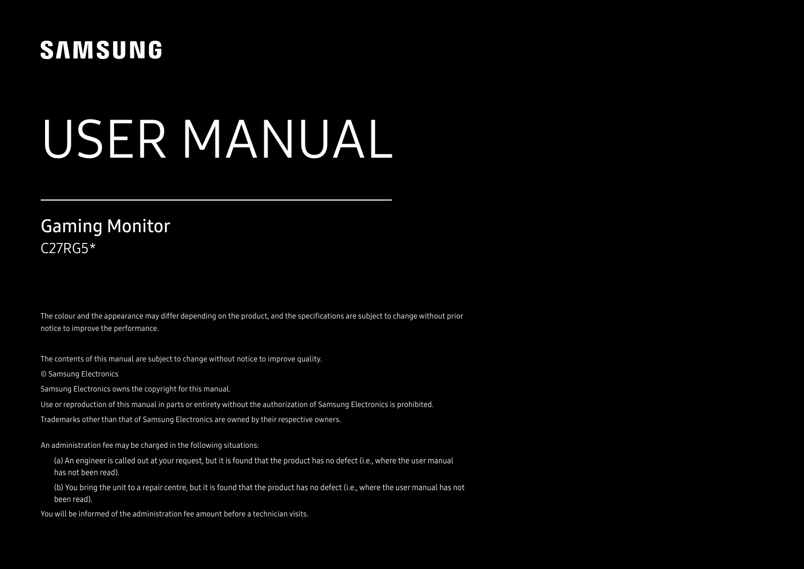# **SAMSUNG**

# USER MANUAL

# C27RG5\* Gaming Monitor

The colour and the appearance may differ depending on the product, and the specifications are subject to change without prior notice to improve the performance.

The contents of this manual are subject to change without notice to improve quality.

© Samsung Electronics

Samsung Electronics owns the copyright for this manual.

Use or reproduction of this manual in parts or entirety without the authorization of Samsung Electronics is prohibited.

Trademarks other than that of Samsung Electronics are owned by their respective owners.

An administration fee may be charged in the following situations:

(a) An engineer is called out at your request, but it is found that the product has no defect (i.e., where the user manual has not been read).

(b) You bring the unit to a repair centre, but it is found that the product has no defect (i.e., where the user manual has not been read).

You will be informed of the administration fee amount before a technician visits.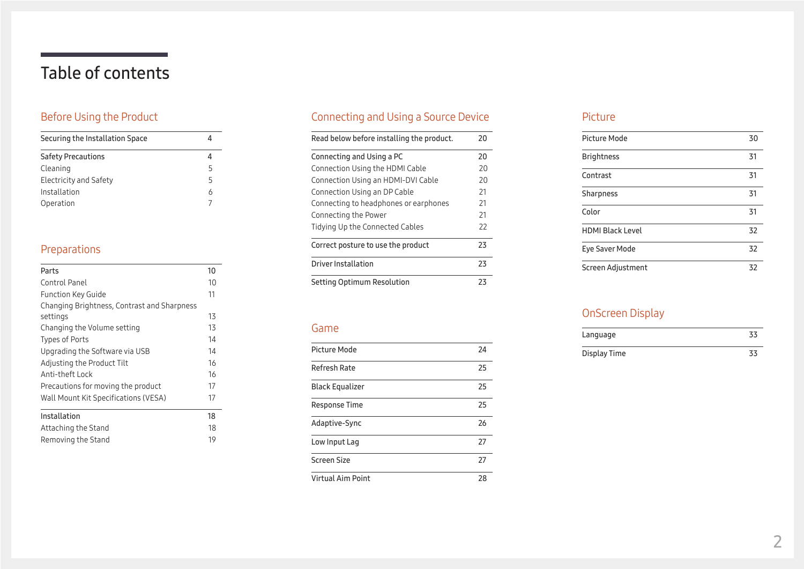# Table of contents

### [Before Using the Product](#page-3-0)

| Securing the Installation Space |   |
|---------------------------------|---|
| <b>Safety Precautions</b>       |   |
| Cleaning                        | 5 |
| <b>Electricity and Safety</b>   | 5 |
| Installation                    | 6 |
| Operation                       |   |

### [Preparations](#page-9-0)

| Parts                                       | 10 |
|---------------------------------------------|----|
| Control Panel                               | 10 |
| <b>Function Key Guide</b>                   | 11 |
| Changing Brightness, Contrast and Sharpness |    |
| settings                                    | 13 |
| Changing the Volume setting                 | 13 |
| Types of Ports                              | 14 |
| Upgrading the Software via USB              | 14 |
| Adjusting the Product Tilt                  | 16 |
| Anti-theft Lock                             | 16 |
| Precautions for moving the product          | 17 |
| Wall Mount Kit Specifications (VESA)        | 17 |
| Installation                                | 18 |
| Attaching the Stand                         | 18 |
| Removing the Stand                          | 19 |

# [Connecting and Using a Source Device](#page-19-0)

| Read below before installing the product. | 20 |
|-------------------------------------------|----|
| Connecting and Using a PC                 | 20 |
| Connection Using the HDMI Cable           | 20 |
| Connection Using an HDMI-DVI Cable        | 20 |
| Connection Using an DP Cable              | 21 |
| Connecting to headphones or earphones     | 21 |
| Connecting the Power                      | 21 |
| Tidying Up the Connected Cables           | 22 |
| Correct posture to use the product        | 23 |
| Driver Installation                       | 23 |
| Setting Optimum Resolution                | 23 |

#### [Game](#page-23-0)

| Picture Mode      | 24 |
|-------------------|----|
| Refresh Rate      | 25 |
| Black Equalizer   | 25 |
| Response Time     | 25 |
| Adaptive-Sync     | 26 |
| Low Input Lag     | 27 |
| Screen Size       | 27 |
| Virtual Aim Point | 28 |

#### [Picture](#page-29-0)

| <b>Picture Mode</b>     | 30 |
|-------------------------|----|
| <b>Brightness</b>       | 31 |
| Contrast                | 31 |
| Sharpness               | 31 |
| Color                   | 31 |
| <b>HDMI Black Level</b> | 32 |
| Eye Saver Mode          | 32 |
| Screen Adjustment       | 32 |

### [OnScreen Display](#page-32-0)

| Language     |  |
|--------------|--|
| Display Time |  |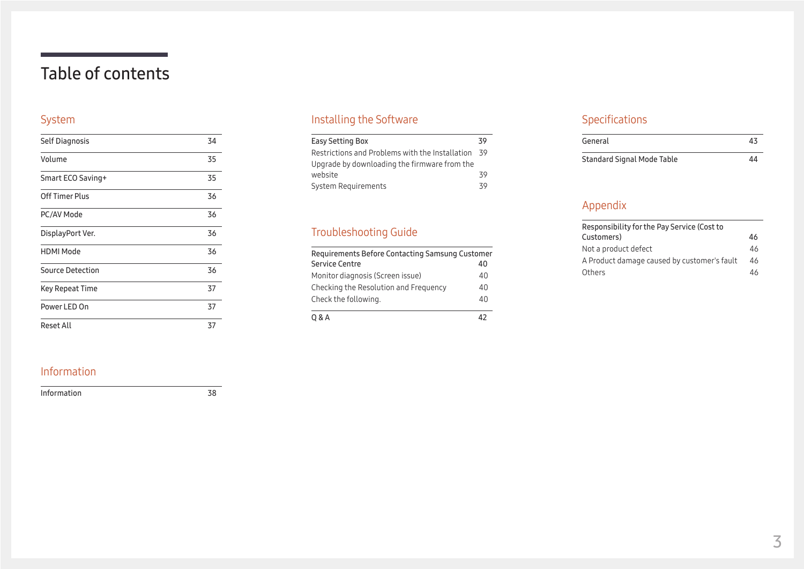# Table of contents

### [System](#page-33-0)

| Self Diagnosis         | 34 |
|------------------------|----|
| Volume                 | 35 |
| Smart ECO Saving+      | 35 |
| <b>Off Timer Plus</b>  | 36 |
| PC/AV Mode             | 36 |
| DisplayPort Ver.       | 36 |
| <b>HDMI Mode</b>       | 36 |
| Source Detection       | 36 |
| <b>Key Repeat Time</b> | 37 |
| Power LED On           | 37 |
| Reset All              | 37 |

# [Installing the Software](#page-38-0)

| Easy Setting Box                                | 39  |
|-------------------------------------------------|-----|
| Restrictions and Problems with the Installation | -39 |
| Upgrade by downloading the firmware from the    |     |
| website                                         | 39  |
| System Requirements                             | 39  |

### [Troubleshooting Guide](#page-39-0)

| Requirements Before Contacting Samsung Customer |    |
|-------------------------------------------------|----|
| Service Centre                                  | 40 |
| Monitor diagnosis (Screen issue)                | 40 |
| Checking the Resolution and Frequency           | 40 |
| Check the following.                            | 40 |
| 0 & A                                           |    |

### [Specifications](#page-42-0)

| General                    | 43 |
|----------------------------|----|
| Standard Signal Mode Table | 44 |

### [Appendix](#page-45-0)

| Responsibility for the Pay Service (Cost to |    |
|---------------------------------------------|----|
| Customers)                                  | 46 |
| Not a product defect                        | 46 |
| A Product damage caused by customer's fault | 46 |
| Others                                      | 46 |

### [Information](#page-37-0)

[Information](#page-37-0) 38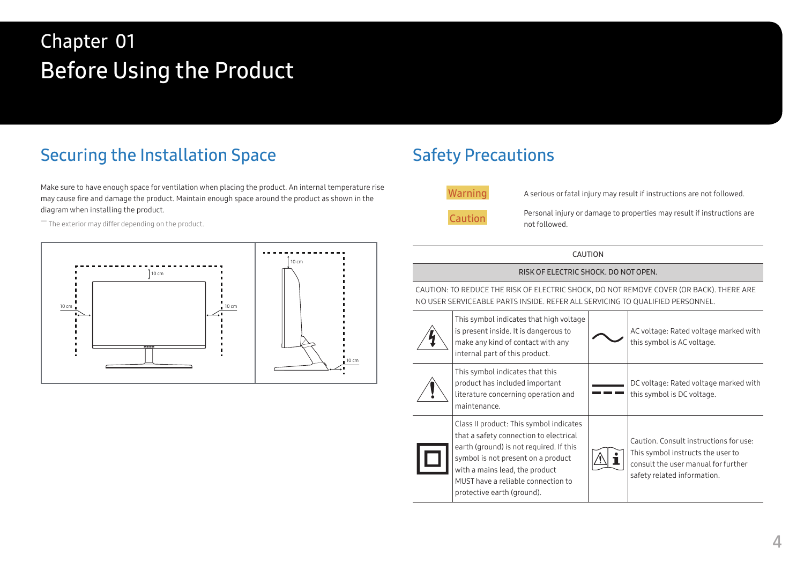# <span id="page-3-0"></span>Before Using the Product Chapter 01

# Securing the Installation Space

Make sure to have enough space for ventilation when placing the product. An internal temperature rise may cause fire and damage the product. Maintain enough space around the product as shown in the diagram when installing the product.

 $-$  The exterior may differ depending on the product.



# Safety Precautions

Warning A serious or fatal injury may result if instructions are not followed.

Caution Personal injury or damage to properties may result if instructions are not followed.

CAUTION

#### RISK OF ELECTRIC SHOCK. DO NOT OPEN.

CAUTION: TO REDUCE THE RISK OF ELECTRIC SHOCK, DO NOT REMOVE COVER (OR BACK). THERE ARE NO USER SERVICEABLE PARTS INSIDE. REFER ALL SERVICING TO QUALIFIED PERSONNEL.

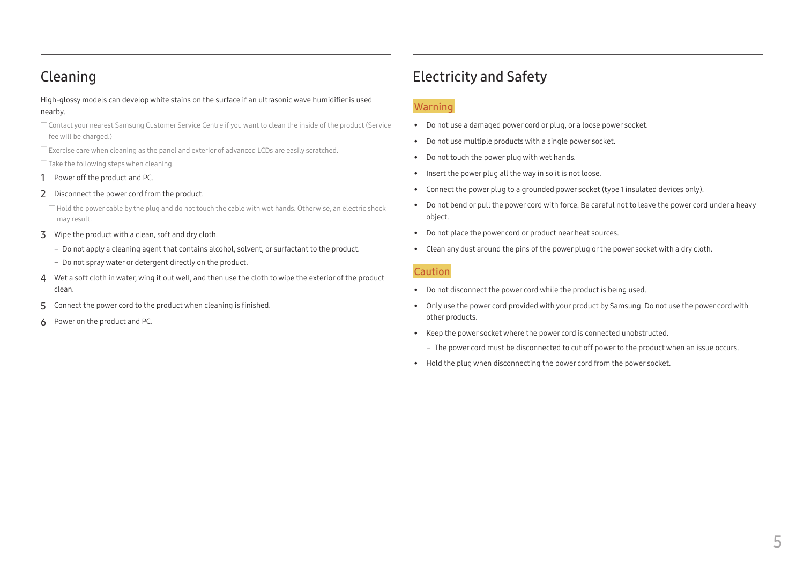# <span id="page-4-0"></span>Cleaning

High-glossy models can develop white stains on the surface if an ultrasonic wave humidifier is used nearby.

- ― Contact your nearest Samsung Customer Service Centre if you want to clean the inside of the product (Service fee will be charged.)
- $-$  Exercise care when cleaning as the panel and exterior of advanced LCDs are easily scratched.

― Take the following steps when cleaning.

- 1 Power off the product and PC.
- 2 Disconnect the power cord from the product.

Hold the power cable by the plug and do not touch the cable with wet hands. Otherwise, an electric shock may result.

- 3 Wipe the product with a clean, soft and dry cloth.
	- Do not apply a cleaning agent that contains alcohol, solvent, or surfactant to the product.
	- ‒ Do not spray water or detergent directly on the product.
- 4 Wet a soft cloth in water, wing it out well, and then use the cloth to wipe the exterior of the product clean.
- 5 Connect the power cord to the product when cleaning is finished.
- 6 Power on the product and PC.

# Electricity and Safety

#### Warning

- Do not use a damaged power cord or plug, or a loose power socket.
- Do not use multiple products with a single power socket.
- Do not touch the power plug with wet hands.
- Insert the power plug all the way in so it is not loose.
- Connect the power plug to a grounded power socket (type 1 insulated devices only).
- Do not bend or pull the power cord with force. Be careful not to leave the power cord under a heavy object.
- Do not place the power cord or product near heat sources.
- Clean any dust around the pins of the power plug or the power socket with a dry cloth.

#### Caution

- Do not disconnect the power cord while the product is being used.
- Only use the power cord provided with your product by Samsung. Do not use the power cord with other products.
- Keep the power socket where the power cord is connected unobstructed.
	- ‒ The power cord must be disconnected to cut off power to the product when an issue occurs.
- Hold the plug when disconnecting the power cord from the power socket.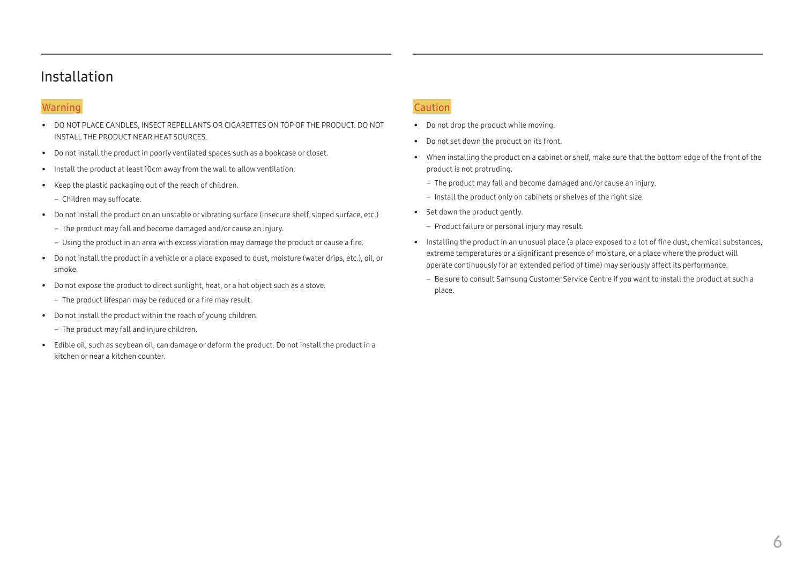### <span id="page-5-0"></span>Installation

#### Warning

- DO NOT PLACE CANDLES, INSECT REPELLANTS OR CIGARETTES ON TOP OF THE PRODUCT. DO NOT INSTALL THE PRODUCT NEAR HEAT SOURCES.
- Do not install the product in poorly ventilated spaces such as a bookcase or closet.
- Install the product at least 10cm away from the wall to allow ventilation.
- Keep the plastic packaging out of the reach of children.
	- Children may suffocate.
- Do not install the product on an unstable or vibrating surface (insecure shelf, sloped surface, etc.)
	- ‒ The product may fall and become damaged and/or cause an injury.
	- ‒ Using the product in an area with excess vibration may damage the product or cause a fire.
- Do not install the product in a vehicle or a place exposed to dust, moisture (water drips, etc.), oil, or smoke.
- Do not expose the product to direct sunlight, heat, or a hot object such as a stove.
	- The product lifespan may be reduced or a fire may result.
- Do not install the product within the reach of young children.
	- The product may fall and injure children.
- Edible oil, such as soybean oil, can damage or deform the product. Do not install the product in a kitchen or near a kitchen counter.

#### Caution

- Do not drop the product while moving.
- Do not set down the product on its front.
- When installing the product on a cabinet or shelf, make sure that the bottom edge of the front of the product is not protruding.
	- ‒ The product may fall and become damaged and/or cause an injury.
	- Install the product only on cabinets or shelves of the right size.
- Set down the product gently.
	- Product failure or personal injury may result.
- Installing the product in an unusual place (a place exposed to a lot of fine dust, chemical substances, extreme temperatures or a significant presence of moisture, or a place where the product will operate continuously for an extended period of time) may seriously affect its performance.
	- Be sure to consult Samsung Customer Service Centre if you want to install the product at such a place.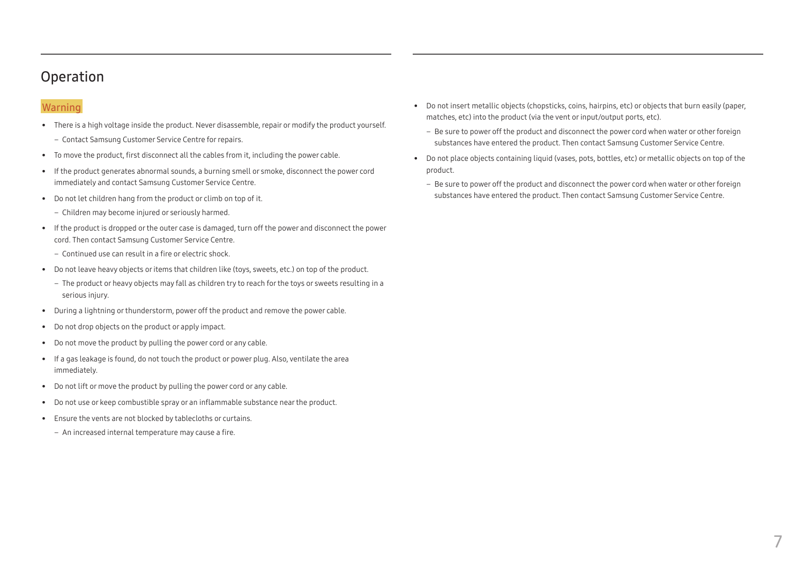### <span id="page-6-0"></span>Operation

#### Warning

- There is a high voltage inside the product. Never disassemble, repair or modify the product yourself.
	- ‒ Contact Samsung Customer Service Centre for repairs.
- To move the product, first disconnect all the cables from it, including the power cable.
- If the product generates abnormal sounds, a burning smell or smoke, disconnect the power cord immediately and contact Samsung Customer Service Centre.
- Do not let children hang from the product or climb on top of it.
	- Children may become injured or seriously harmed.
- If the product is dropped or the outer case is damaged, turn off the power and disconnect the power cord. Then contact Samsung Customer Service Centre.
	- ‒ Continued use can result in a fire or electric shock.
- Do not leave heavy objects or items that children like (toys, sweets, etc.) on top of the product.
	- ‒ The product or heavy objects may fall as children try to reach for the toys or sweets resulting in a serious injury.
- During a lightning or thunderstorm, power off the product and remove the power cable.
- Do not drop objects on the product or apply impact.
- Do not move the product by pulling the power cord or any cable.
- If a gas leakage is found, do not touch the product or power plug. Also, ventilate the area immediately.
- Do not lift or move the product by pulling the power cord or any cable.
- Do not use or keep combustible spray or an inflammable substance near the product.
- Ensure the vents are not blocked by tablecloths or curtains.
	- An increased internal temperature may cause a fire.
- Do not insert metallic objects (chopsticks, coins, hairpins, etc) or objects that burn easily (paper, matches, etc) into the product (via the vent or input/output ports, etc).
	- ‒ Be sure to power off the product and disconnect the power cord when water or other foreign substances have entered the product. Then contact Samsung Customer Service Centre.
- Do not place objects containing liquid (vases, pots, bottles, etc) or metallic objects on top of the product.
	- ‒ Be sure to power off the product and disconnect the power cord when water or other foreign substances have entered the product. Then contact Samsung Customer Service Centre.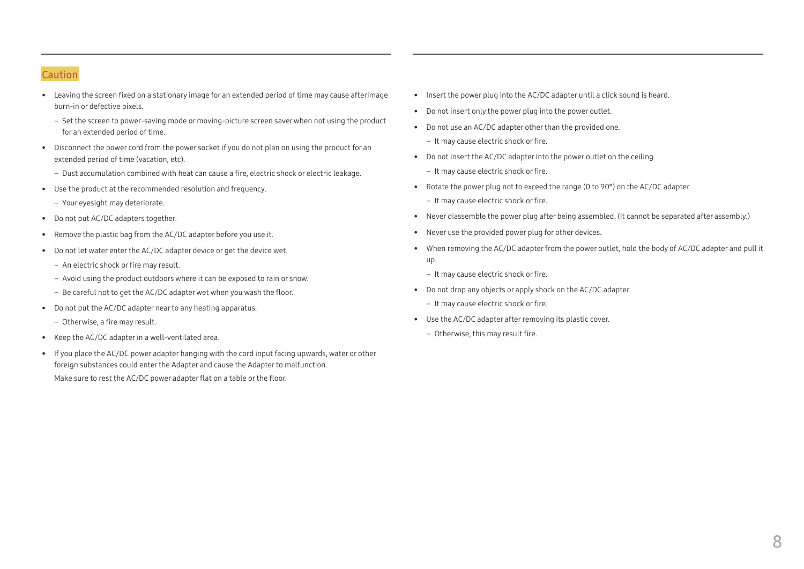#### Caution

- Leaving the screen fixed on a stationary image for an extended period of time may cause afterimage burn-in or defective pixels.
	- Set the screen to power-saving mode or moving-picture screen saver when not using the product for an extended period of time.
- Disconnect the power cord from the power socket if you do not plan on using the product for an extended period of time (vacation, etc).
	- ‒ Dust accumulation combined with heat can cause a fire, electric shock or electric leakage.
- Use the product at the recommended resolution and frequency.
	- Your evesight may deteriorate.
- Do not put AC/DC adapters together.
- Remove the plastic bag from the AC/DC adapter before you use it.
- Do not let water enter the AC/DC adapter device or get the device wet.
	- An electric shock or fire may result.
	- Avoid using the product outdoors where it can be exposed to rain or snow.
	- Be careful not to get the AC/DC adapter wet when you wash the floor.
- Do not put the AC/DC adapter near to any heating apparatus.
	- Otherwise, a fire may result.
- Keep the AC/DC adapter in a well-ventilated area.
- If you place the AC/DC power adapter hanging with the cord input facing upwards, water or other foreign substances could enter the Adapter and cause the Adapter to malfunction. Make sure to rest the AC/DC power adapter flat on a table or the floor.
- Insert the power plug into the AC/DC adapter until a click sound is heard.
- Do not insert only the power plug into the power outlet.
- Do not use an AC/DC adapter other than the provided one.
	- ‒ It may cause electric shock or fire.
- Do not insert the AC/DC adapter into the power outlet on the ceiling.
	- It may cause electric shock or fire.
- Rotate the power plug not to exceed the range (0 to 90°) on the AC/DC adapter.
	- It may cause electric shock or fire.
- Never diassemble the power plug after being assembled. (It cannot be separated after assembly.)
- Never use the provided power plug for other devices.
- When removing the AC/DC adapter from the power outlet, hold the body of AC/DC adapter and pull it up.
	- ‒ It may cause electric shock or fire.
- Do not drop any objects or apply shock on the AC/DC adapter.
	- It may cause electric shock or fire.
- Use the AC/DC adapter after removing its plastic cover.
	- Otherwise, this may result fire.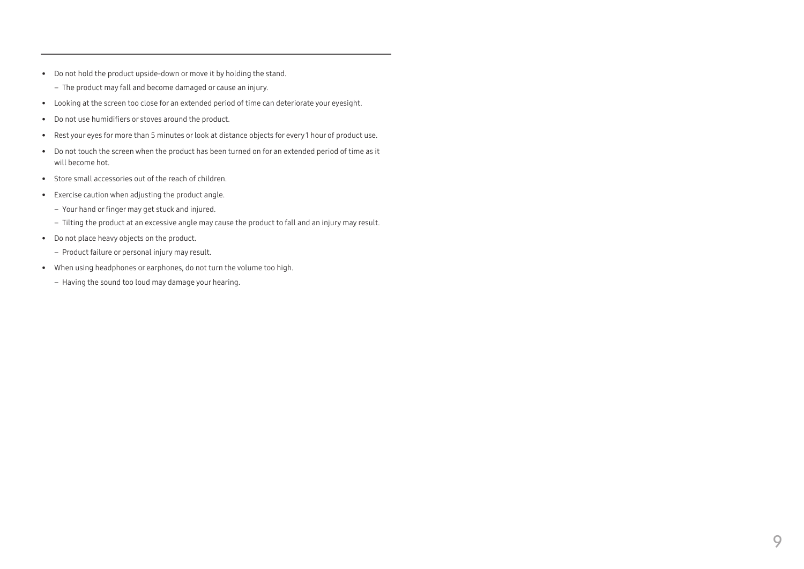- Do not hold the product upside-down or move it by holding the stand.
	- The product may fall and become damaged or cause an injury.
- Looking at the screen too close for an extended period of time can deteriorate your eyesight.
- Do not use humidifiers or stoves around the product.
- Rest your eyes for more than 5 minutes or look at distance objects for every 1 hour of product use.
- Do not touch the screen when the product has been turned on for an extended period of time as it will become hot.
- Store small accessories out of the reach of children.
- Exercise caution when adjusting the product angle.
	- ‒ Your hand or finger may get stuck and injured.
	- Tilting the product at an excessive angle may cause the product to fall and an injury may result.
- Do not place heavy objects on the product.
	- Product failure or personal injury may result.
- When using headphones or earphones, do not turn the volume too high.
	- Having the sound too loud may damage your hearing.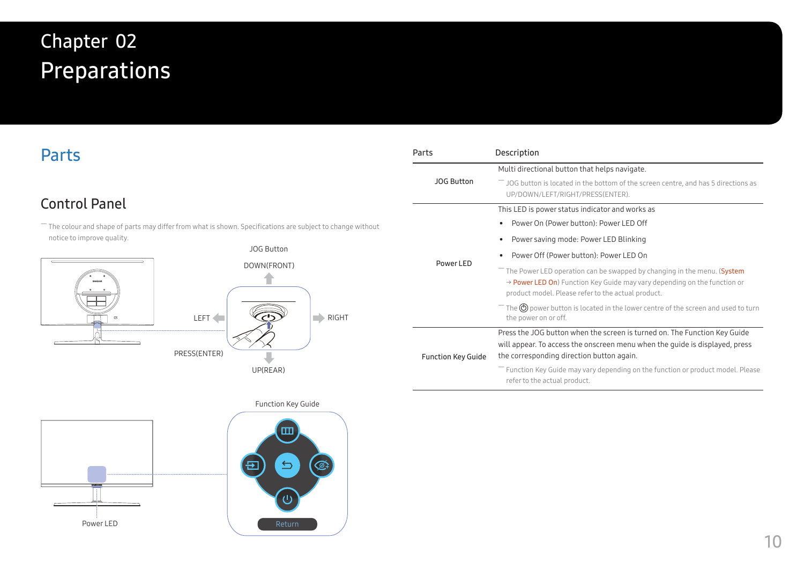# <span id="page-9-0"></span>Preparations Chapter 02

# Parts

# Control Panel

 $-$  The colour and shape of parts may differ from what is shown. Specifications are subject to change without notice to improve quality.





| Parts                     | Description                                                                                                                                                                                                           |
|---------------------------|-----------------------------------------------------------------------------------------------------------------------------------------------------------------------------------------------------------------------|
|                           | Multi directional button that helps navigate.                                                                                                                                                                         |
| <b>JOG Button</b>         | $^-$ JOG button is located in the bottom of the screen centre, and has 5 directions as<br>UP/DOWN/LEFT/RIGHT/PRESS(ENTER).                                                                                            |
|                           | This LED is power status indicator and works as                                                                                                                                                                       |
|                           | Power On (Power button): Power LED Off<br>$\bullet$                                                                                                                                                                   |
|                           | Power saving mode: Power LED Blinking<br>٠                                                                                                                                                                            |
|                           | Power Off (Power button): Power LED On                                                                                                                                                                                |
| Power LED                 | The Power LED operation can be swapped by changing in the menu. (System<br>$\rightarrow$ Power LED On) Function Key Guide may vary depending on the function or<br>product model. Please refer to the actual product. |
|                           | $^-$ The $\circledS$ power button is located in the lower centre of the screen and used to turn<br>the power on or off.                                                                                               |
| <b>Function Key Guide</b> | Press the JOG button when the screen is turned on. The Function Key Guide<br>will appear. To access the onscreen menu when the quide is displayed, press<br>the corresponding direction button again.                 |
|                           | $^-$ Function Key Guide may vary depending on the function or product model. Please<br>refer to the actual product.                                                                                                   |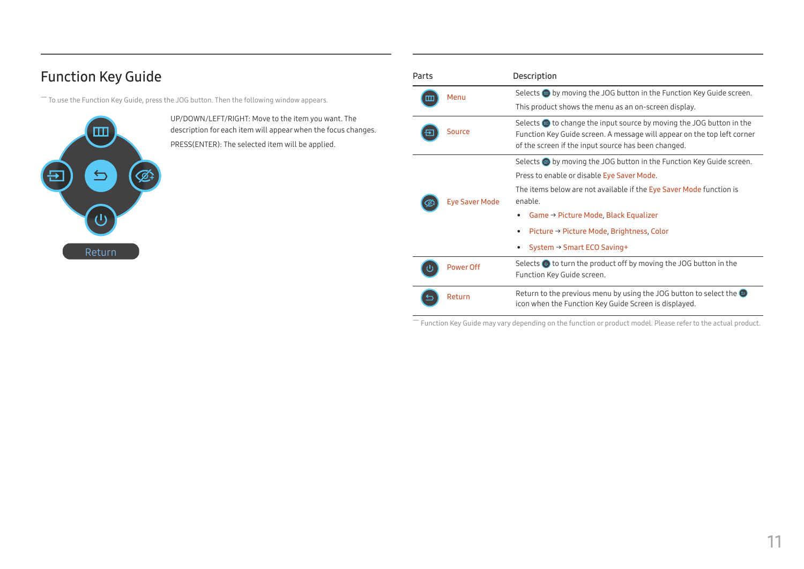# <span id="page-10-0"></span>Function Key Guide

― To use the Function Key Guide, press the JOG button. Then the following window appears.



UP/DOWN/LEFT/RIGHT: Move to the item you want. The description for each item will appear when the focus changes. PRESS(ENTER): The selected item will be applied.

| Parts |                       | Description                                                                                                                                                                                                                                                                                                                                                            |  |
|-------|-----------------------|------------------------------------------------------------------------------------------------------------------------------------------------------------------------------------------------------------------------------------------------------------------------------------------------------------------------------------------------------------------------|--|
| Ш     | Menu                  | Selects $\blacksquare$ by moving the JOG button in the Function Key Guide screen.<br>This product shows the menu as an on-screen display.                                                                                                                                                                                                                              |  |
|       | Source                | Selects $\bullet$ to change the input source by moving the JOG button in the<br>Function Key Guide screen. A message will appear on the top left corner<br>of the screen if the input source has been changed.                                                                                                                                                         |  |
|       | <b>Eye Saver Mode</b> | Selects $\circledcirc$ by moving the JOG button in the Function Key Guide screen.<br>Press to enable or disable Eye Saver Mode.<br>The items below are not available if the Eye Saver Mode function is<br>enable.<br>Game $\rightarrow$ Picture Mode, Black Equalizer<br>٠<br>Picture → Picture Mode, Brightness, Color<br>System $\rightarrow$ Smart ECO Saving+<br>٠ |  |
|       | Power Off             | Selects $\bullet$ to turn the product off by moving the JOG button in the<br>Function Key Guide screen.                                                                                                                                                                                                                                                                |  |
|       | Return                | Return to the previous menu by using the JOG button to select the $\Theta$<br>icon when the Function Key Guide Screen is displayed.                                                                                                                                                                                                                                    |  |

― Function Key Guide may vary depending on the function or product model. Please refer to the actual product.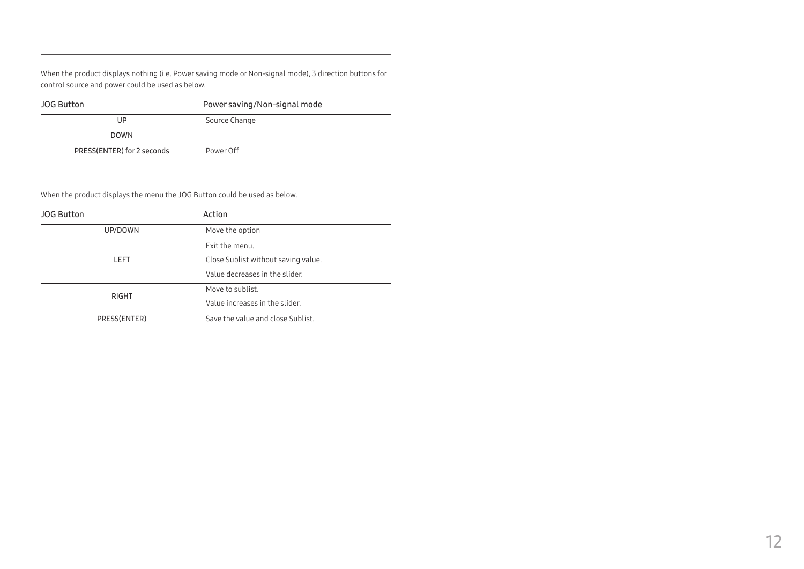When the product displays nothing (i.e. Power saving mode or Non-signal mode), 3 direction buttons for control source and power could be used as below.

| <b>JOG Button</b>          | Power saving/Non-signal mode |  |
|----------------------------|------------------------------|--|
| UP                         | Source Change                |  |
| <b>DOWN</b>                |                              |  |
| PRESS(ENTER) for 2 seconds | Power Off                    |  |

When the product displays the menu the JOG Button could be used as below.

| <b>JOG Button</b> | Action                              |  |
|-------------------|-------------------------------------|--|
| UP/DOWN           | Move the option                     |  |
|                   | Exit the menu.                      |  |
| LEFT              | Close Sublist without saving value. |  |
|                   | Value decreases in the slider.      |  |
|                   | Move to sublist.                    |  |
| <b>RIGHT</b>      | Value increases in the slider.      |  |
| PRESS(ENTER)      | Save the value and close Sublist.   |  |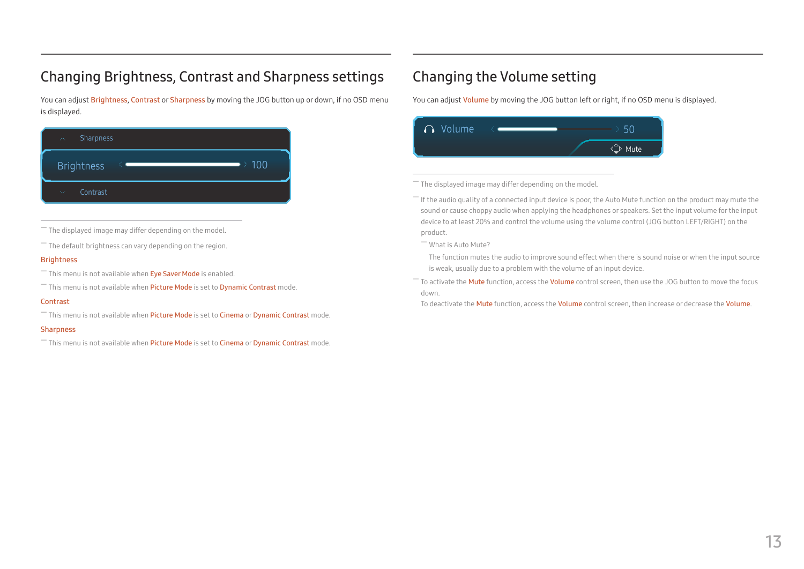# <span id="page-12-0"></span>Changing Brightness, Contrast and Sharpness settings

You can adjust Brightness, Contrast or Sharpness by moving the JOG button up or down, if no OSD menu is displayed.

| Sharpness<br>$\mathcal{P}^{\infty}$     |            |
|-----------------------------------------|------------|
| <b>Brightness</b>                       | $\geq 100$ |
| Contrast<br>$\mathcal{N}_{\mathcal{A}}$ |            |

 $-$  The displayed image may differ depending on the model.

 $-$  The default brightness can vary depending on the region.

#### Brightness

 $-$  This menu is not available when Eye Saver Mode is enabled.

 $-$  This menu is not available when Picture Mode is set to Dynamic Contrast mode.

#### Contrast

<sup>-</sup> This menu is not available when Picture Mode is set to Cinema or Dynamic Contrast mode.

#### Sharpness

 $-$  This menu is not available when Picture Mode is set to Cinema or Dynamic Contrast mode.

# Changing the Volume setting

You can adjust Volume by moving the JOG button left or right, if no OSD menu is displayed.



The displayed image may differ depending on the model.

 $-$  If the audio quality of a connected input device is poor, the Auto Mute function on the product may mute the sound or cause choppy audio when applying the headphones or speakers. Set the input volume for the input device to at least 20% and control the volume using the volume control (JOG button LEFT/RIGHT) on the product.

― What is Auto Mute?

The function mutes the audio to improve sound effect when there is sound noise or when the input source is weak, usually due to a problem with the volume of an input device.

<sup>-</sup> To activate the **Mute** function, access the **Volume** control screen, then use the JOG button to move the focus down.

To deactivate the Mute function, access the Volume control screen, then increase or decrease the Volume.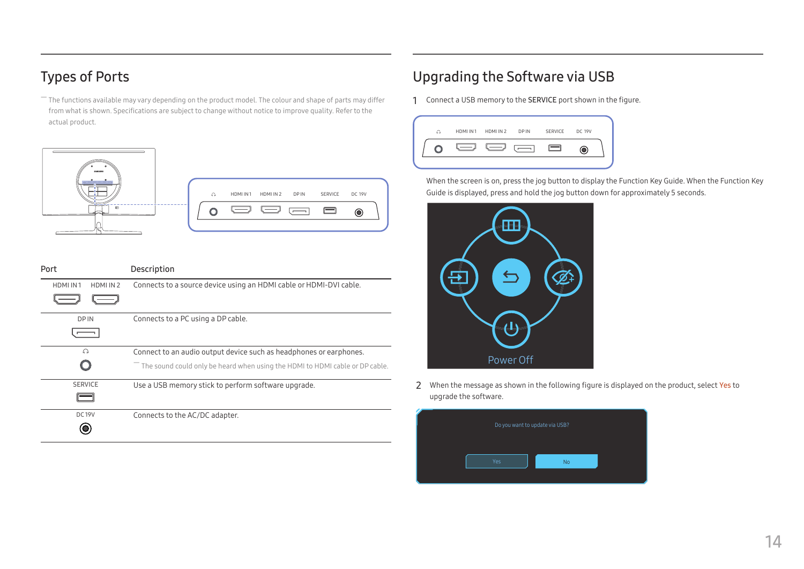# <span id="page-13-0"></span>Types of Ports

 $-$  The functions available may vary depending on the product model. The colour and shape of parts may differ from what is shown. Specifications are subject to change without notice to improve quality. Refer to the actual product.



| Port                  | Description                                                                                           |  |
|-----------------------|-------------------------------------------------------------------------------------------------------|--|
| HDMI IN1<br>HDMI IN 2 | Connects to a source device using an HDMI cable or HDMI-DVI cable.                                    |  |
| DP IN                 | Connects to a PC using a DP cable.                                                                    |  |
| ଋ                     | Connect to an audio output device such as headphones or earphones.                                    |  |
|                       | $\overline{\phantom{a}}$ The sound could only be heard when using the HDMI to HDMI cable or DP cable. |  |
| <b>SERVICE</b>        | Use a USB memory stick to perform software upgrade.                                                   |  |
| <b>DC19V</b>          | Connects to the AC/DC adapter.                                                                        |  |

# Upgrading the Software via USB

1 Connect a USB memory to the SERVICE port shown in the figure.



When the screen is on, press the jog button to display the Function Key Guide. When the Function Key Guide is displayed, press and hold the jog button down for approximately 5 seconds.



2 When the message as shown in the following figure is displayed on the product, select Yes to upgrade the software.

|            | Do you want to update via USB? |  |
|------------|--------------------------------|--|
| <b>Yes</b> | No                             |  |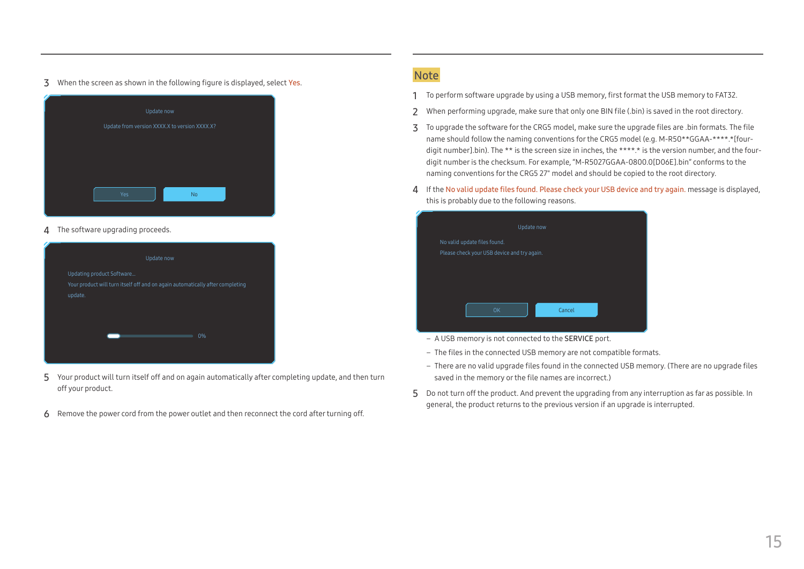3 When the screen as shown in the following figure is displayed, select Yes.



4 The software upgrading proceeds.



- 5 Your product will turn itself off and on again automatically after completing update, and then turn off your product.
- 6 Remove the power cord from the power outlet and then reconnect the cord after turning off.

#### **Note**

- 1 To perform software upgrade by using a USB memory, first format the USB memory to FAT32.
- 2 When performing upgrade, make sure that only one BIN file (.bin) is saved in the root directory.
- 3 To upgrade the software for the CRG5 model, make sure the upgrade files are .bin formats. The file name should follow the naming conventions for the CRG5 model (e.g. M-R50\*\*GGAA-\*\*\*\*.\*[fourdigit number].bin). The \*\* is the screen size in inches, the \*\*\*\*.\* is the version number, and the fourdigit number is the checksum. For example, "M-R5027GGAA-0800.0[D06E].bin" conforms to the naming conventions for the CRG5 27" model and should be copied to the root directory.
- 4 If the No valid update files found. Please check your USB device and try again. message is displayed, this is probably due to the following reasons.



- ‒ A USB memory is not connected to the SERVICE port.
- The files in the connected USB memory are not compatible formats.
- ‒ There are no valid upgrade files found in the connected USB memory. (There are no upgrade files saved in the memory or the file names are incorrect.)
- 5 Do not turn off the product. And prevent the upgrading from any interruption as far as possible. In general, the product returns to the previous version if an upgrade is interrupted.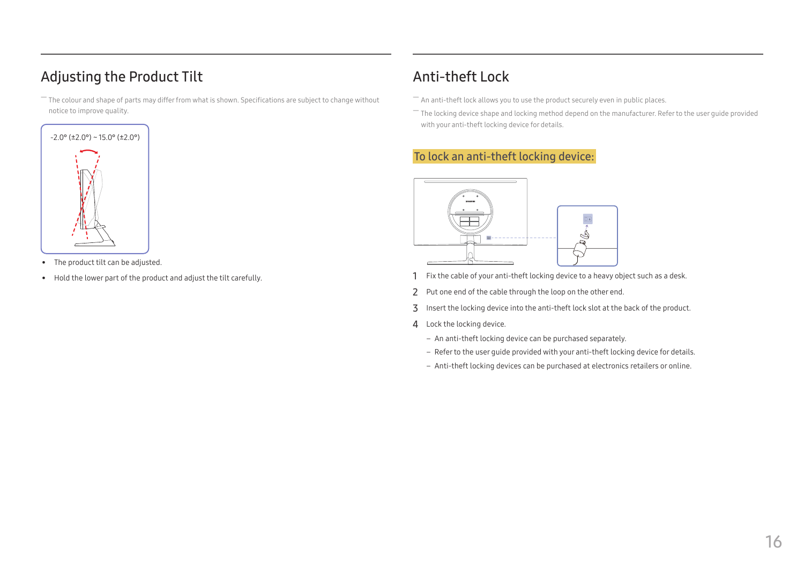# <span id="page-15-0"></span>Adjusting the Product Tilt

 $-$  The colour and shape of parts may differ from what is shown. Specifications are subject to change without notice to improve quality.



- The product tilt can be adjusted.
- Hold the lower part of the product and adjust the tilt carefully.

# Anti-theft Lock

- $-$  An anti-theft lock allows you to use the product securely even in public places.
- $-$  The locking device shape and locking method depend on the manufacturer. Refer to the user guide provided with your anti-theft locking device for details.

### To lock an anti-theft locking device:



- 1 Fix the cable of your anti-theft locking device to a heavy object such as a desk.
- 2 Put one end of the cable through the loop on the other end.
- 3 Insert the locking device into the anti-theft lock slot at the back of the product.
- 4 Lock the locking device.
	- ‒ An anti-theft locking device can be purchased separately.
	- Refer to the user quide provided with your anti-theft locking device for details.
	- ‒ Anti-theft locking devices can be purchased at electronics retailers or online.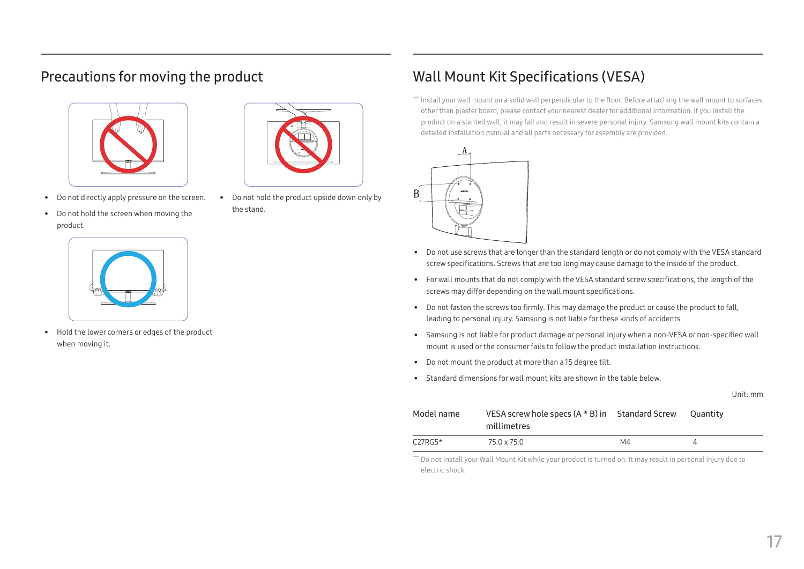# <span id="page-16-0"></span>Precautions for moving the product



- Do not directly apply pressure on the screen.
- Do not hold the screen when moving the product.



• Do not hold the product upside down only by the stand.

# Wall Mount Kit Specifications (VESA)

― Install your wall mount on a solid wall perpendicular to the floor. Before attaching the wall mount to surfaces other than plaster board, please contact your nearest dealer for additional information. If you install the product on a slanted wall, it may fall and result in severe personal injury. Samsung wall mount kits contain a detailed installation manual and all parts necessary for assembly are provided.



- Do not use screws that are longer than the standard length or do not comply with the VESA standard screw specifications. Screws that are too long may cause damage to the inside of the product.
- For wall mounts that do not comply with the VESA standard screw specifications, the length of the screws may differ depending on the wall mount specifications.
- Do not fasten the screws too firmly. This may damage the product or cause the product to fall, leading to personal injury. Samsung is not liable for these kinds of accidents.
- Samsung is not liable for product damage or personal injury when a non-VESA or non-specified wall mount is used or the consumer fails to follow the product installation instructions.
- Do not mount the product at more than a 15 degree tilt.
- Standard dimensions for wall mount kits are shown in the table below.

Unit: mm

| Model name | VESA screw hole specs $(A * B)$ in Standard Screw<br>millimetres |    | <b>Cuantity</b> |
|------------|------------------------------------------------------------------|----|-----------------|
| $C27RG5*$  | 75.0 x 75.0                                                      | M4 |                 |

― Do not install your Wall Mount Kit while your product is turned on. It may result in personal injury due to electric shock.



• Hold the lower corners or edges of the product when moving it.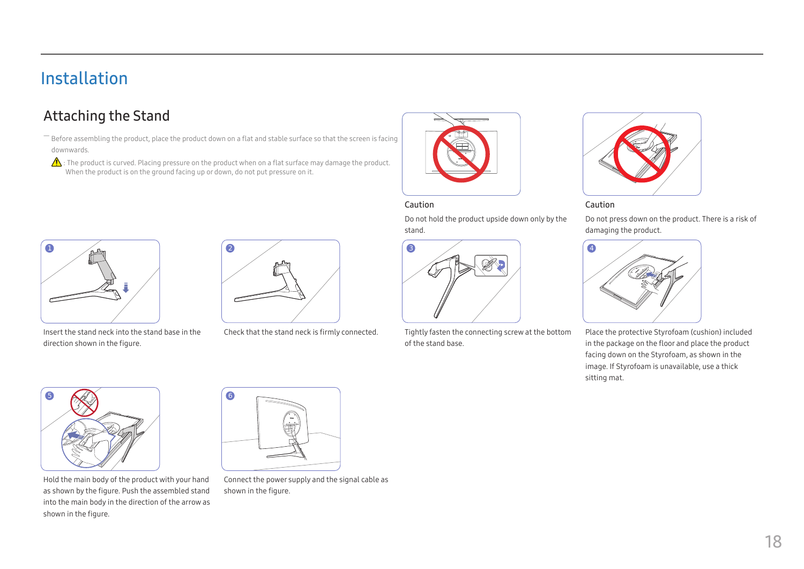# <span id="page-17-0"></span>Installation

# Attaching the Stand

― Before assembling the product, place the product down on a flat and stable surface so that the screen is facing downwards.

 $\bigwedge$ : The product is curved. Placing pressure on the product when on a flat surface may damage the product. When the product is on the ground facing up or down, do not put pressure on it.



#### Caution

Do not hold the product upside down only by the stand.



Check that the stand neck is firmly connected. Tightly fasten the connecting screw at the bottom of the stand base.



Caution

Do not press down on the product. There is a risk of damaging the product.



Place the protective Styrofoam (cushion) included in the package on the floor and place the product facing down on the Styrofoam, as shown in the image. If Styrofoam is unavailable, use a thick sitting mat.



Insert the stand neck into the stand base in the direction shown in the figure.





Hold the main body of the product with your hand as shown by the figure. Push the assembled stand into the main body in the direction of the arrow as shown in the figure.



Connect the power supply and the signal cable as shown in the figure.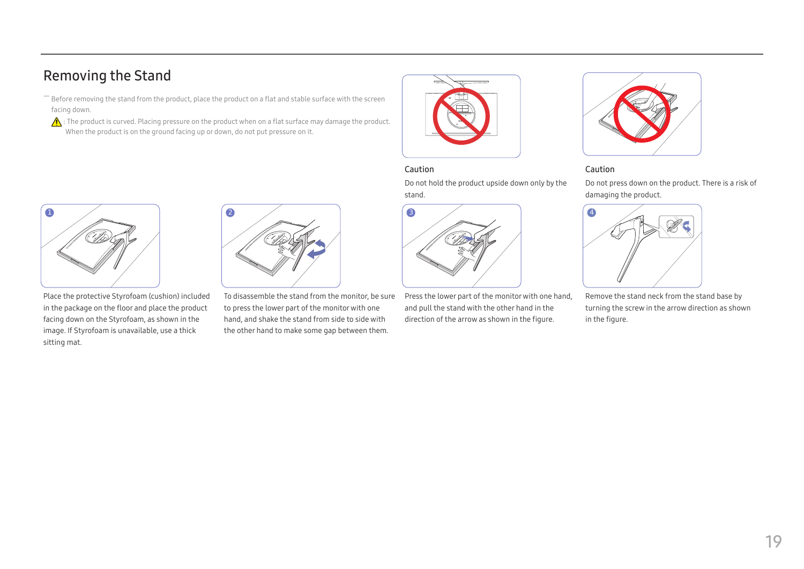# <span id="page-18-0"></span>Removing the Stand

- Before removing the stand from the product, place the product on a flat and stable surface with the screen facing down.
- $\bigwedge$  : The product is curved. Placing pressure on the product when on a flat surface may damage the product. When the product is on the ground facing up or down, do not put pressure on it.



#### Caution

Do not hold the product upside down only by the stand.



#### Caution

Do not press down on the product. There is a risk of damaging the product.



Place the protective Styrofoam (cushion) included in the package on the floor and place the product facing down on the Styrofoam, as shown in the image. If Styrofoam is unavailable, use a thick sitting mat.



To disassemble the stand from the monitor, be sure to press the lower part of the monitor with one hand, and shake the stand from side to side with the other hand to make some gap between them.



Press the lower part of the monitor with one hand, and pull the stand with the other hand in the direction of the arrow as shown in the figure.



Remove the stand neck from the stand base by turning the screw in the arrow direction as shown in the figure.

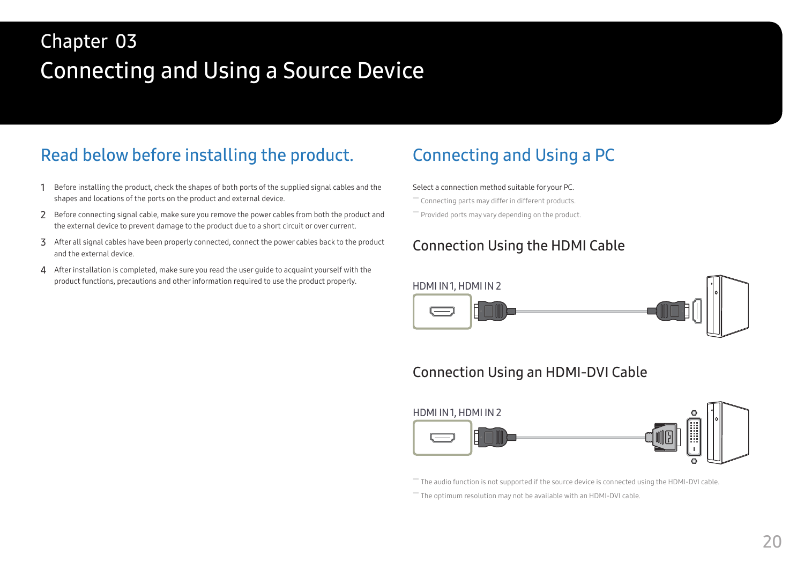# <span id="page-19-0"></span>Connecting and Using a Source Device Chapter 03

# Read below before installing the product.

- 1 Before installing the product, check the shapes of both ports of the supplied signal cables and the shapes and locations of the ports on the product and external device.
- 2 Before connecting signal cable, make sure you remove the power cables from both the product and the external device to prevent damage to the product due to a short circuit or over current.
- 3 After all signal cables have been properly connected, connect the power cables back to the product and the external device.
- 4 After installation is completed, make sure you read the user quide to acquaint yourself with the product functions, precautions and other information required to use the product properly.

# Connecting and Using a PC

#### Select a connection method suitable for your PC.

- ― Connecting parts may differ in different products.
- ― Provided ports may vary depending on the product.

### Connection Using the HDMI Cable



# Connection Using an HDMI-DVI Cable



The audio function is not supported if the source device is connected using the HDMI-DVI cable.

― The optimum resolution may not be available with an HDMI-DVI cable.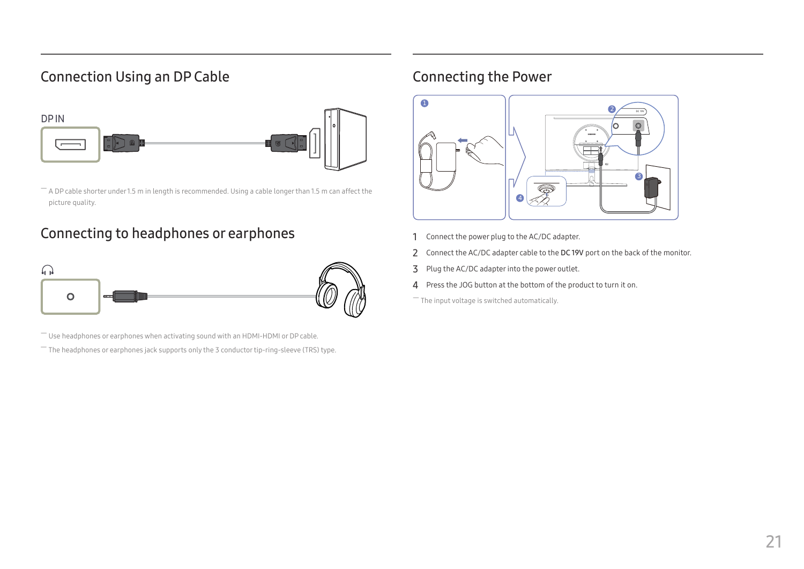# <span id="page-20-0"></span>Connection Using an DP Cable



 $-$  A DP cable shorter under 1.5 m in length is recommended. Using a cable longer than 1.5 m can affect the picture quality.

### Connecting to headphones or earphones



 $-$  Use headphones or earphones when activating sound with an HDMI-HDMI or DP cable.

― The headphones or earphones jack supports only the 3 conductor tip-ring-sleeve (TRS) type.

# Connecting the Power



- 1 Connect the power plug to the AC/DC adapter.
- 2 Connect the AC/DC adapter cable to the DC 19V port on the back of the monitor.
- 3 Plug the AC/DC adapter into the power outlet.
- 4 Press the JOG button at the bottom of the product to turn it on.

― The input voltage is switched automatically.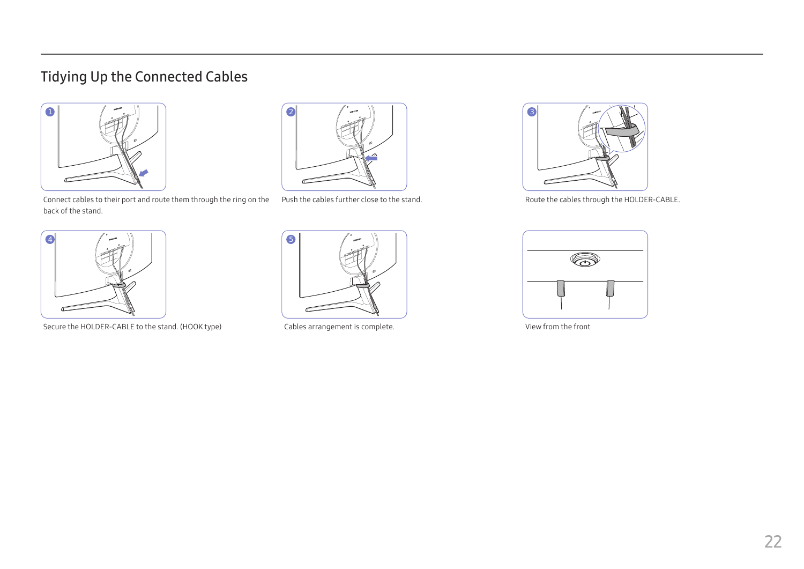# <span id="page-21-0"></span>Tidying Up the Connected Cables





Connect cables to their port and route them through the ring on the Push the cables further close to the stand. back of the stand.



Secure the HOLDER-CABLE to the stand. (HOOK type) Cables arrangement is complete. View from the front





Route the cables through the HOLDER-CABLE.

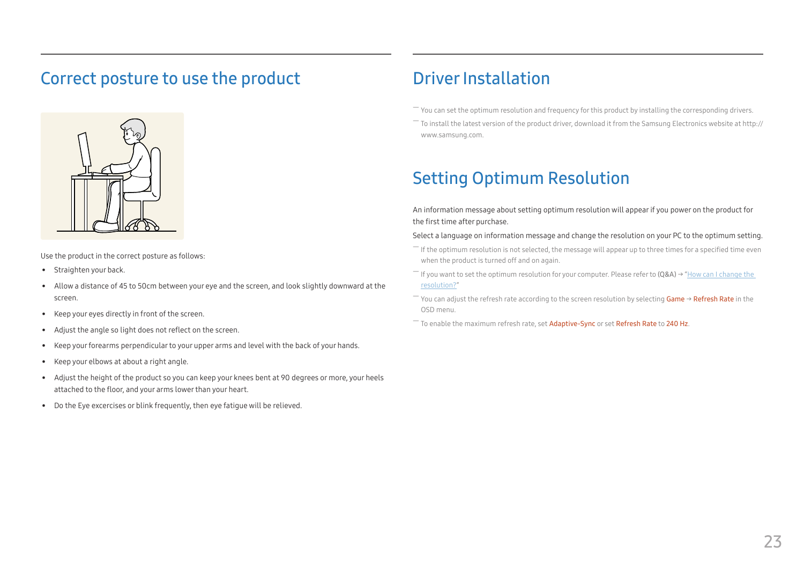# <span id="page-22-0"></span>Correct posture to use the product



Use the product in the correct posture as follows:

- Straighten your back.
- Allow a distance of 45 to 50cm between your eye and the screen, and look slightly downward at the screen.
- Keep your eyes directly in front of the screen.
- Adjust the angle so light does not reflect on the screen.
- Keep your forearms perpendicular to your upper arms and level with the back of your hands.
- Keep your elbows at about a right angle.
- Adjust the height of the product so you can keep your knees bent at 90 degrees or more, your heels attached to the floor, and your arms lower than your heart.
- Do the Eye excercises or blink frequently, then eye fatigue will be relieved.

# Driver Installation

- $-$  You can set the optimum resolution and frequency for this product by installing the corresponding drivers.
- $^-$  To install the latest version of the product driver, download it from the Samsung Electronics website at http:// www.samsung.com.

# Setting Optimum Resolution

An information message about setting optimum resolution will appear if you power on the product for the first time after purchase.

#### Select a language on information message and change the resolution on your PC to the optimum setting.

- ― If the optimum resolution is not selected, the message will appear up to three times for a specified time even when the product is turned off and on again.
- ― If you want to set the optimum resolution for your computer. Please refer to (Q&A) → "[How can I change the](#page-41-1)  [resolution?](#page-41-1)"
- ― You can adjust the refresh rate according to the screen resolution by selecting Game → Refresh Rate in the OSD menu.
- ― To enable the maximum refresh rate, set Adaptive-Sync or set Refresh Rate to 240 Hz.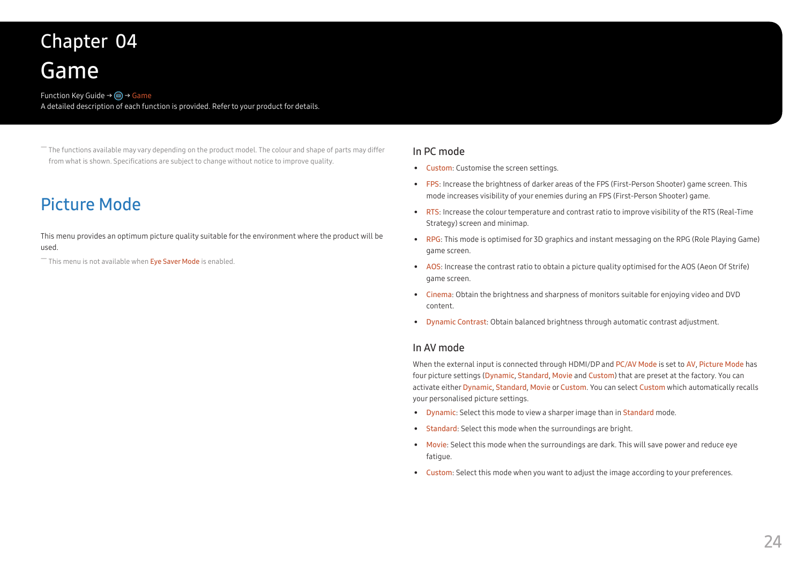# <span id="page-23-0"></span>Game Chapter 04

#### Function Key Guide  $\rightarrow$  (m)  $\rightarrow$  Game A detailed description of each function is provided. Refer to your product for details.

― The functions available may vary depending on the product model. The colour and shape of parts may differ from what is shown. Specifications are subject to change without notice to improve quality.

# Picture Mode

This menu provides an optimum picture quality suitable for the environment where the product will be used.

 $-$  This menu is not available when Eye Saver Mode is enabled.

#### In PC mode

- Custom: Customise the screen settings.
- FPS: Increase the brightness of darker areas of the FPS (First-Person Shooter) game screen. This mode increases visibility of your enemies during an FPS (First-Person Shooter) game.
- RTS: Increase the colour temperature and contrast ratio to improve visibility of the RTS (Real-Time Strategy) screen and minimap.
- RPG: This mode is optimised for 3D graphics and instant messaging on the RPG (Role Playing Game) game screen.
- AOS: Increase the contrast ratio to obtain a picture quality optimised for the AOS (Aeon Of Strife) game screen.
- Cinema: Obtain the brightness and sharpness of monitors suitable for enjoying video and DVD content.
- Dynamic Contrast: Obtain balanced brightness through automatic contrast adjustment.

#### In AV mode

When the external input is connected through HDMI/DP and PC/AV Mode is set to AV, Picture Mode has four picture settings (Dynamic, Standard, Movie and Custom) that are preset at the factory. You can activate either Dynamic, Standard, Movie or Custom. You can select Custom which automatically recalls your personalised picture settings.

- Dynamic: Select this mode to view a sharper image than in Standard mode.
- Standard: Select this mode when the surroundings are bright.
- Movie: Select this mode when the surroundings are dark. This will save power and reduce eye fatigue.
- Custom: Select this mode when you want to adjust the image according to your preferences.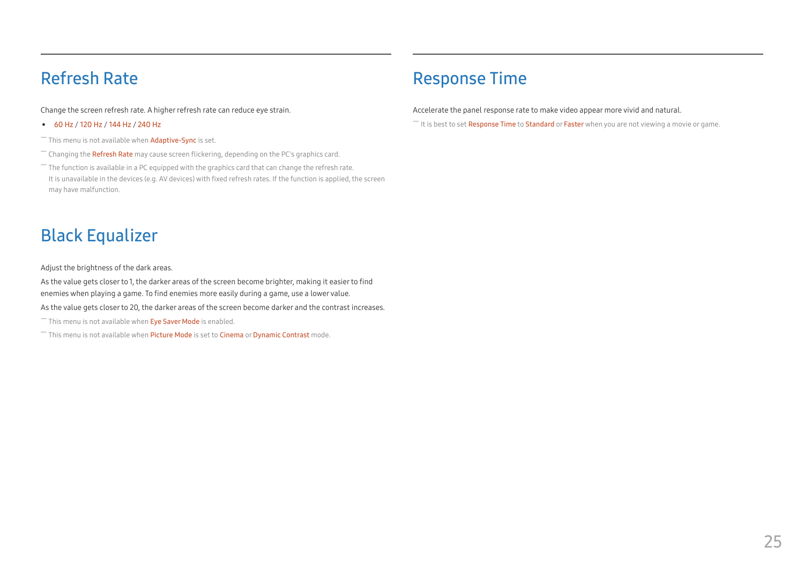# <span id="page-24-0"></span>Refresh Rate

Change the screen refresh rate. A higher refresh rate can reduce eye strain.

• 60 Hz / 120 Hz / 144 Hz / 240 Hz

 $-$  This menu is not available when  $Adaptive-Spnc$  is set.

- $-$  Changing the **Refresh Rate** may cause screen flickering, depending on the PC's graphics card.
- $-$  The function is available in a PC equipped with the graphics card that can change the refresh rate. It is unavailable in the devices (e.g. AV devices) with fixed refresh rates. If the function is applied, the screen may have malfunction.

# Black Equalizer

Adjust the brightness of the dark areas.

As the value gets closer to 1, the darker areas of the screen become brighter, making it easier to find enemies when playing a game. To find enemies more easily during a game, use a lower value.

As the value gets closer to 20, the darker areas of the screen become darker and the contrast increases.

 $-$  This menu is not available when Eve Saver Mode is enabled.

― This menu is not available when Picture Mode is set to Cinema or Dynamic Contrast mode.

# Response Time

Accelerate the panel response rate to make video appear more vivid and natural.

 $-$  It is best to set **Response Time** to **Standard** or **Faster** when you are not viewing a movie or game.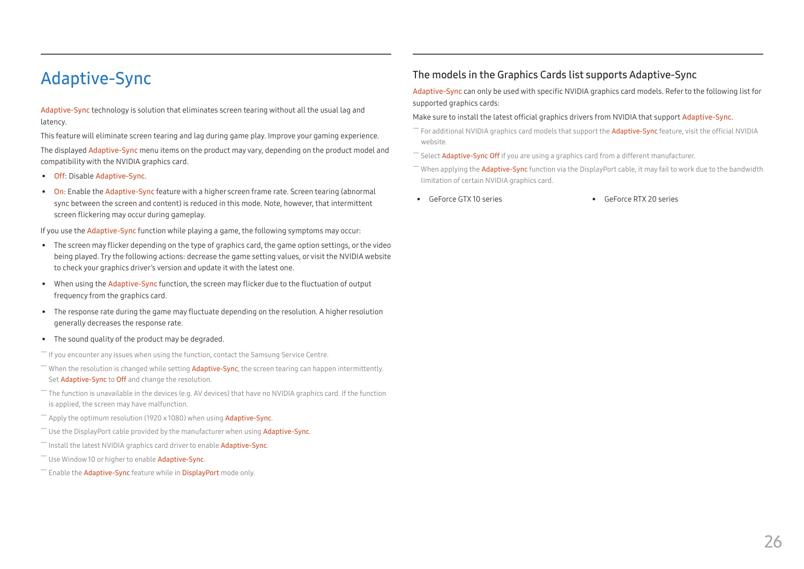# <span id="page-25-0"></span>Adaptive-Sync

Adaptive-Sync technology is solution that eliminates screen tearing without all the usual lag and latency.

This feature will eliminate screen tearing and lag during game play. Improve your gaming experience.

The displayed Adaptive-Sync menu items on the product may vary, depending on the product model and compatibility with the NVIDIA graphics card.

- Off: Disable Adaptive-Sync.
- On: Enable the Adaptive-Sync feature with a higher screen frame rate. Screen tearing (abnormal sync between the screen and content) is reduced in this mode. Note, however, that intermittent screen flickering may occur during gameplay.

If you use the Adaptive-Sync function while playing a game, the following symptoms may occur:

- The screen may flicker depending on the type of graphics card, the game option settings, or the video being played. Try the following actions: decrease the game setting values, or visit the NVIDIA website to check your graphics driver's version and update it with the latest one.
- When using the Adaptive-Sync function, the screen may flicker due to the fluctuation of output frequency from the graphics card.
- The response rate during the game may fluctuate depending on the resolution. A higher resolution generally decreases the response rate.
- The sound quality of the product may be degraded.

 $-$  If you encounter any issues when using the function, contact the Samsung Service Centre.

- $-$  When the resolution is changed while setting **Adaptive-Sync**, the screen tearing can happen intermittently. Set **Adaptive-Sync** to **Off** and change the resolution.
- $^-$  The function is unavailable in the devices (e.g. AV devices) that have no NVIDIA graphics card. If the function is applied, the screen may have malfunction.
- $-$  Apply the optimum resolution (1920 x 1080) when using **Adaptive-Sync.**
- $-$  Use the DisplayPort cable provided by the manufacturer when using **Adaptive-Sync**.
- $-$  Install the latest NVIDIA graphics card driver to enable Adaptive-Sync.
- ― Use Window 10 or higher to enable Adaptive-Sync.
- <sup>-</sup> Enable the **Adaptive-Sync** feature while in **DisplayPort** mode only.

#### The models in the Graphics Cards list supports Adaptive-Sync

Adaptive-Sync can only be used with specific NVIDIA graphics card models. Refer to the following list for supported graphics cards:

#### Make sure to install the latest official graphics drivers from NVIDIA that support Adaptive-Sync.

- $^-$  For additional NVIDIA graphics card models that support the **Adaptive-Sync** feature, visit the official NVIDIA website.
- ― Select Adaptive-Sync Off if you are using a graphics card from a different manufacturer.
- $-$  When applying the Adaptive-Sync function via the DisplayPort cable, it may fail to work due to the bandwidth limitation of certain NVIDIA graphics card.
- GeForce GTX 10 series GeForce RTX 20 series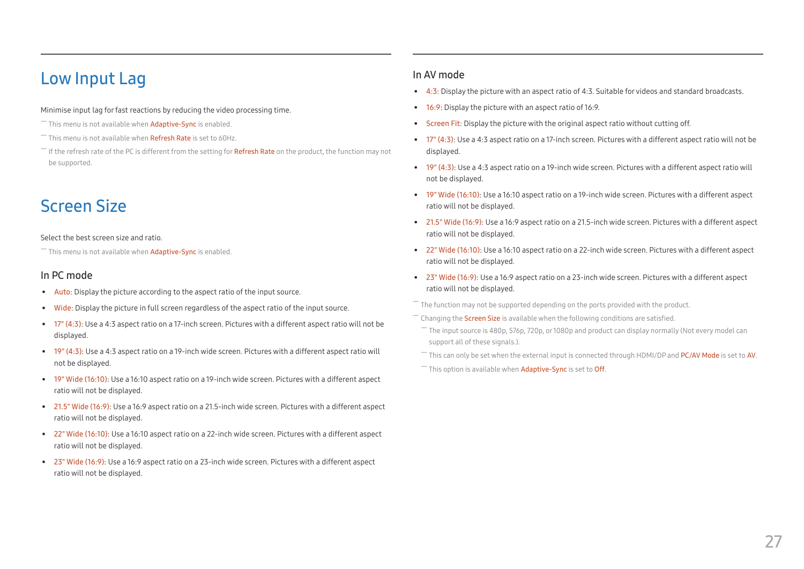# <span id="page-26-0"></span>Low Input Lag

#### Minimise input lag for fast reactions by reducing the video processing time.

- $-$  This menu is not available when **Adaptive-Sync** is enabled.
- $-$  This menu is not available when **Refresh Rate** is set to 60Hz.
- $^-$  If the refresh rate of the PC is different from the setting for **Refresh Rate** on the product, the function may not be supported.

# Screen Size

#### Select the best screen size and ratio.

 $-$  This menu is not available when **Adaptive-Sync** is enabled.

#### In PC mode

- Auto: Display the picture according to the aspect ratio of the input source.
- Wide: Display the picture in full screen regardless of the aspect ratio of the input source.
- 17" (4:3): Use a 4:3 aspect ratio on a 17-inch screen. Pictures with a different aspect ratio will not be displayed.
- 19" (4:3): Use a 4:3 aspect ratio on a 19-inch wide screen. Pictures with a different aspect ratio will not be displayed.
- 19" Wide (16:10): Use a 16:10 aspect ratio on a 19-inch wide screen. Pictures with a different aspect ratio will not be displayed.
- 21.5" Wide (16:9): Use a 16:9 aspect ratio on a 21.5-inch wide screen. Pictures with a different aspect ratio will not be displayed.
- 22" Wide (16:10): Use a 16:10 aspect ratio on a 22-inch wide screen. Pictures with a different aspect ratio will not be displayed.
- 23" Wide (16:9): Use a 16:9 aspect ratio on a 23-inch wide screen. Pictures with a different aspect ratio will not be displayed.

#### In AV mode

- $\bullet$  4:3: Display the picture with an aspect ratio of 4:3. Suitable for videos and standard broadcasts.
- 16:9: Display the picture with an aspect ratio of 16:9.
- Screen Fit: Display the picture with the original aspect ratio without cutting off.
- 17" (4:3): Use a 4:3 aspect ratio on a 17-inch screen. Pictures with a different aspect ratio will not be displayed.
- 19" (4:3): Use a 4:3 aspect ratio on a 19-inch wide screen. Pictures with a different aspect ratio will not be displayed.
- 19" Wide (16:10): Use a 16:10 aspect ratio on a 19-inch wide screen. Pictures with a different aspect ratio will not be displayed.
- 21.5" Wide (16:9): Use a 16:9 aspect ratio on a 21.5-inch wide screen. Pictures with a different aspect ratio will not be displayed.
- 22" Wide (16:10): Use a 16:10 aspect ratio on a 22-inch wide screen. Pictures with a different aspect ratio will not be displayed.
- 23" Wide (16:9): Use a 16:9 aspect ratio on a 23-inch wide screen. Pictures with a different aspect ratio will not be displayed.

The function may not be supported depending on the ports provided with the product.

Changing the **Screen Size** is available when the following conditions are satisfied.

- ― The input source is 480p, 576p, 720p, or 1080p and product can display normally (Not every model can support all of these signals.).
- $-$  This can only be set when the external input is connected through HDMI/DP and PC/AV Mode is set to AV.

 $-$  This option is available when Adaptive-Sync is set to Off.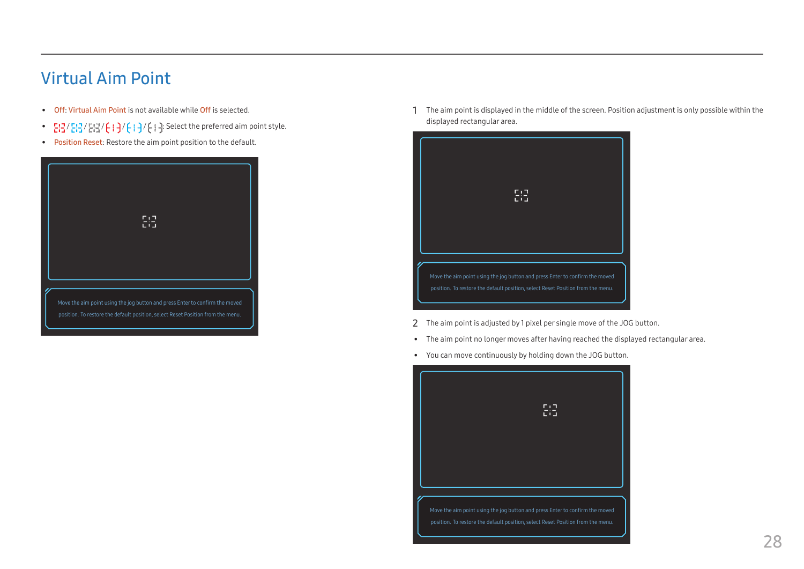# <span id="page-27-0"></span>Virtual Aim Point

- Off: Virtual Aim Point is not available while Off is selected.
- $E: \frac{1}{2}$  /  $E: \frac{1}{2}$  /  $E: \frac{1}{2}$  /  $E: \frac{1}{2}$  /  $E: \frac{1}{2}$  /  $E: \frac{1}{2}$  is Select the preferred aim point style.
- Position Reset: Restore the aim point position to the default.



1 The aim point is displayed in the middle of the screen. Position adjustment is only possible within the displayed rectangular area.



- 2 The aim point is adjusted by 1 pixel per single move of the JOG button.
- The aim point no longer moves after having reached the displayed rectangular area.
- You can move continuously by holding down the JOG button.

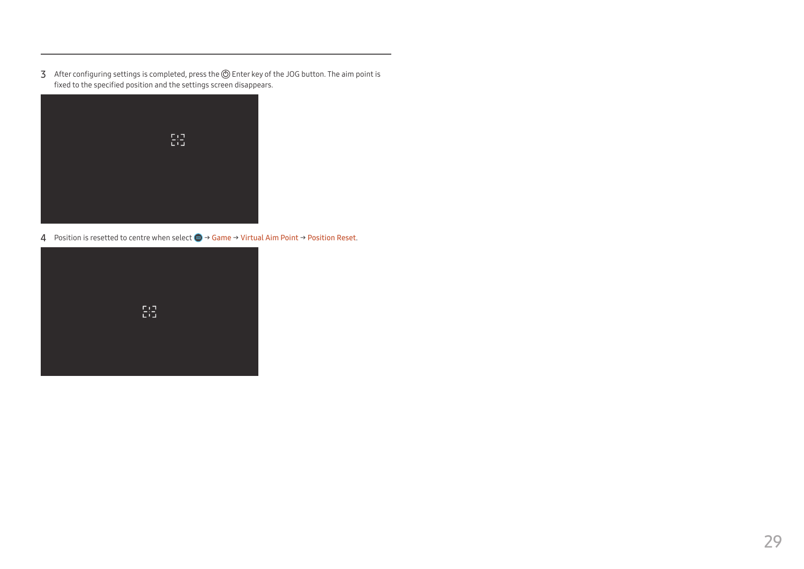3 After configuring settings is completed, press the  $\circledD$  Enter key of the JOG button. The aim point is fixed to the specified position and the settings screen disappears.



4 Position is resetted to centre when select (a) 
→ Game → Virtual Aim Point → Position Reset.

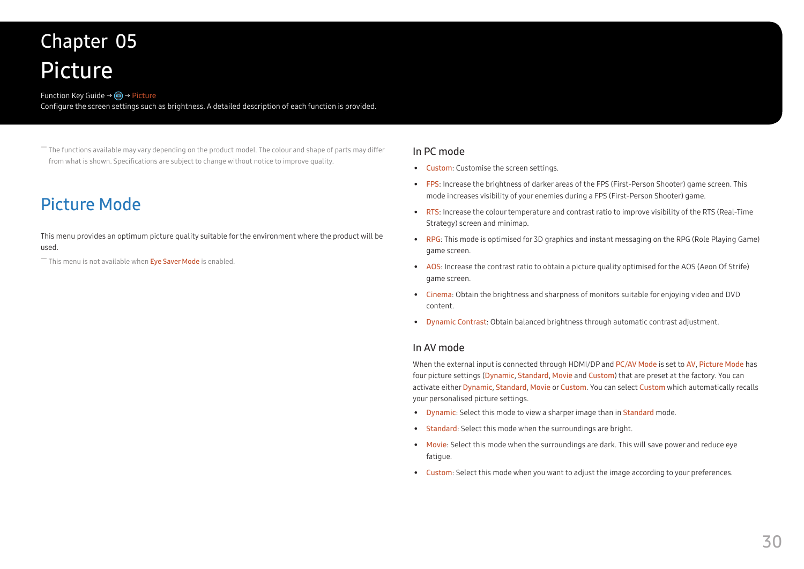# <span id="page-29-0"></span>Picture Chapter 05

#### Function Key Guide → (m) → Picture

Configure the screen settings such as brightness. A detailed description of each function is provided.

― The functions available may vary depending on the product model. The colour and shape of parts may differ from what is shown. Specifications are subject to change without notice to improve quality.

# Picture Mode

This menu provides an optimum picture quality suitable for the environment where the product will be used.

 $-$  This menu is not available when Eye Saver Mode is enabled.

#### In PC mode

- Custom: Customise the screen settings.
- FPS: Increase the brightness of darker areas of the FPS (First-Person Shooter) game screen. This mode increases visibility of your enemies during a FPS (First-Person Shooter) game.
- RTS: Increase the colour temperature and contrast ratio to improve visibility of the RTS (Real-Time Strategy) screen and minimap.
- RPG: This mode is optimised for 3D graphics and instant messaging on the RPG (Role Playing Game) game screen.
- AOS: Increase the contrast ratio to obtain a picture quality optimised for the AOS (Aeon Of Strife) game screen.
- Cinema: Obtain the brightness and sharpness of monitors suitable for enjoying video and DVD content.
- Dynamic Contrast: Obtain balanced brightness through automatic contrast adjustment.

#### In AV mode

When the external input is connected through HDMI/DP and PC/AV Mode is set to AV, Picture Mode has four picture settings (Dynamic, Standard, Movie and Custom) that are preset at the factory. You can activate either Dynamic, Standard, Movie or Custom. You can select Custom which automatically recalls your personalised picture settings.

- Dynamic: Select this mode to view a sharper image than in Standard mode.
- Standard: Select this mode when the surroundings are bright.
- Movie: Select this mode when the surroundings are dark. This will save power and reduce eye fatigue.
- Custom: Select this mode when you want to adjust the image according to your preferences.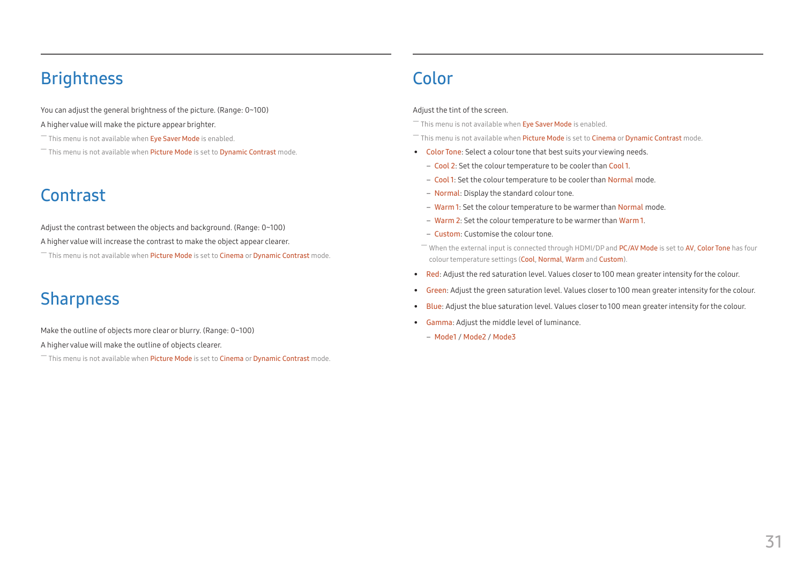# <span id="page-30-0"></span>**Brightness**

You can adjust the general brightness of the picture. (Range: 0~100)

#### A higher value will make the picture appear brighter.

- $^-$  This menu is not available when Eye Saver Mode is enabled.
- $-$  This menu is not available when Picture Mode is set to Dynamic Contrast mode.

# Contrast

- Adjust the contrast between the objects and background. (Range: 0~100)
- A higher value will increase the contrast to make the object appear clearer.

 $-$  This menu is not available when Picture Mode is set to Cinema or Dynamic Contrast mode.

# **Sharpness**

Make the outline of objects more clear or blurry. (Range: 0~100)

A higher value will make the outline of objects clearer.

― This menu is not available when Picture Mode is set to Cinema or Dynamic Contrast mode.

# Color

#### Adjust the tint of the screen.

 $^-$  This menu is not available when Eye Saver Mode is enabled.

- $-$  This menu is not available when Picture Mode is set to Cinema or Dynamic Contrast mode.
- Color Tone: Select a colour tone that best suits your viewing needs.
	- Cool 2: Set the colour temperature to be cooler than Cool 1.
	- Cool 1: Set the colour temperature to be cooler than Normal mode.
	- Normal: Display the standard colour tone.
	- Warm 1: Set the colour temperature to be warmer than Normal mode.
	- Warm 2: Set the colour temperature to be warmer than Warm 1.
	- Custom: Customise the colour tone.
	- ― When the external input is connected through HDMI/DP and PC/AV Mode is set to AV, Color Tone has four colour temperature settings (Cool, Normal, Warm and Custom).
- Red: Adjust the red saturation level. Values closer to 100 mean greater intensity for the colour.
- Green: Adjust the green saturation level. Values closer to 100 mean greater intensity for the colour.
- Blue: Adjust the blue saturation level. Values closer to 100 mean greater intensity for the colour.
- Gamma: Adjust the middle level of luminance.
	- Mode1 / Mode2 / Mode3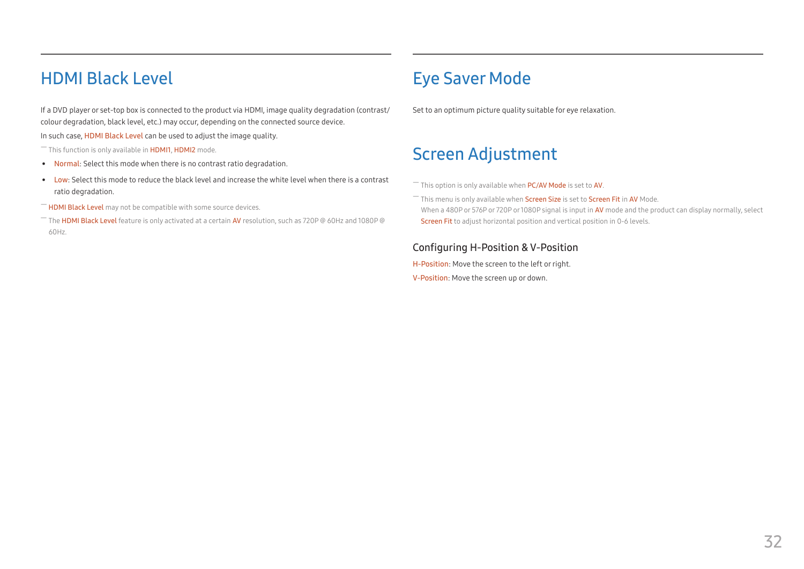# <span id="page-31-0"></span>HDMI Black Level

If a DVD player or set-top box is connected to the product via HDMI, image quality degradation (contrast/ colour degradation, black level, etc.) may occur, depending on the connected source device.

In such case, HDMI Black Level can be used to adjust the image quality.

 $-$  This function is only available in  $HDM11$ ,  $HDM12$  mode.

- Normal: Select this mode when there is no contrast ratio degradation.
- Low: Select this mode to reduce the black level and increase the white level when there is a contrast ratio degradation.
- ― HDMI Black Level may not be compatible with some source devices.

― The HDMI Black Level feature is only activated at a certain AV resolution, such as 720P @ 60Hz and 1080P @ 60Hz.

# Eye Saver Mode

Set to an optimum picture quality suitable for eye relaxation.

# Screen Adjustment

― This option is only available when PC/AV Mode is set to AV.

 $^-$  This menu is only available when Screen Size is set to Screen Fit in AV Mode. When a 480P or 576P or 720P or 1080P signal is input in AV mode and the product can display normally, select Screen Fit to adjust horizontal position and vertical position in 0-6 levels.

#### Configuring H-Position & V-Position

H-Position: Move the screen to the left or right.

V-Position: Move the screen up or down.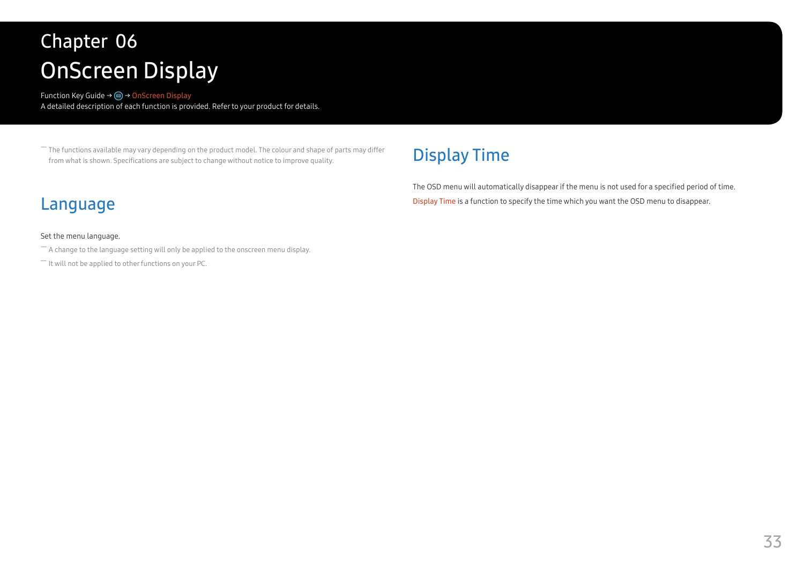# <span id="page-32-0"></span>OnScreen Display Chapter 06

Function Key Guide → m → OnScreen Display A detailed description of each function is provided. Refer to your product for details.

― The functions available may vary depending on the product model. The colour and shape of parts may differ from what is shown. Specifications are subject to change without notice to improve quality.

# Language

#### Set the menu language.

- $-$  A change to the language setting will only be applied to the onscreen menu display.
- ― It will not be applied to other functions on your PC.

# Display Time

The OSD menu will automatically disappear if the menu is not used for a specified period of time. Display Time is a function to specify the time which you want the OSD menu to disappear.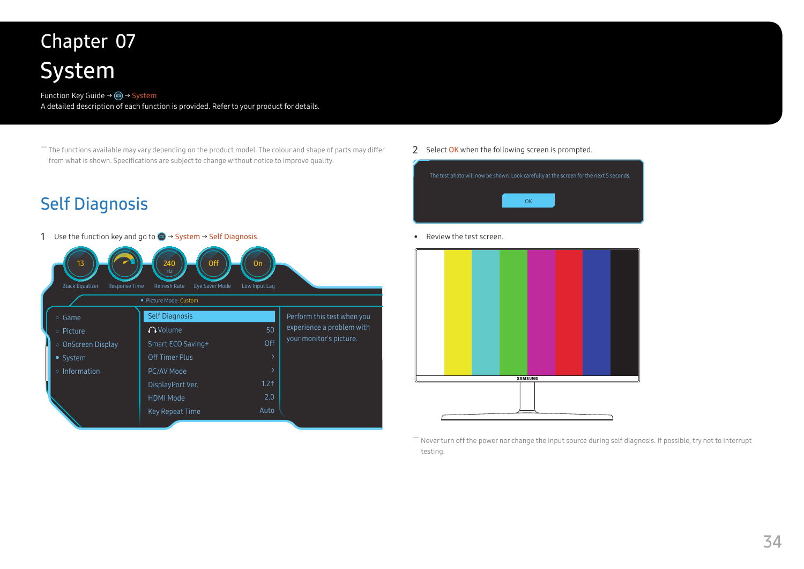# <span id="page-33-0"></span>System Chapter 07

#### Function Key Guide → (m) → System A detailed description of each function is provided. Refer to your product for details.

― The functions available may vary depending on the product model. The colour and shape of parts may differ from what is shown. Specifications are subject to change without notice to improve quality.

# <span id="page-33-1"></span>Self Diagnosis

1 Use the function key and go to  $\bigoplus$  → System → Self Diagnosis.

| 13<br><b>Black Equalizer</b><br>Response Time                                | Off<br>240<br>Refresh Rate<br>Eye Saver Mode<br>· Picture Mode: Custom                                                                                    | On<br>Low Input Lag                          |                                                                                    |
|------------------------------------------------------------------------------|-----------------------------------------------------------------------------------------------------------------------------------------------------------|----------------------------------------------|------------------------------------------------------------------------------------|
| ○ Game<br>• Picture<br>○ OnScreen Display<br>• System<br>$\circ$ Information | <b>Self Diagnosis</b><br>$\bigcap$ Volume<br>Smart ECO Saving+<br>Off Timer Plus<br>PC/AV Mode<br>DisplayPort Ver.<br><b>HDMI Mode</b><br>Key Repeat Time | 50<br>Off<br>1.2 <sub>0</sub><br>2.0<br>Auto | Perform this test when you<br>experience a problem with<br>your monitor's picture. |

#### 2 Select OK when the following screen is prompted.



• Review the test screen.



― Never turn off the power nor change the input source during self diagnosis. If possible, try not to interrupt testing.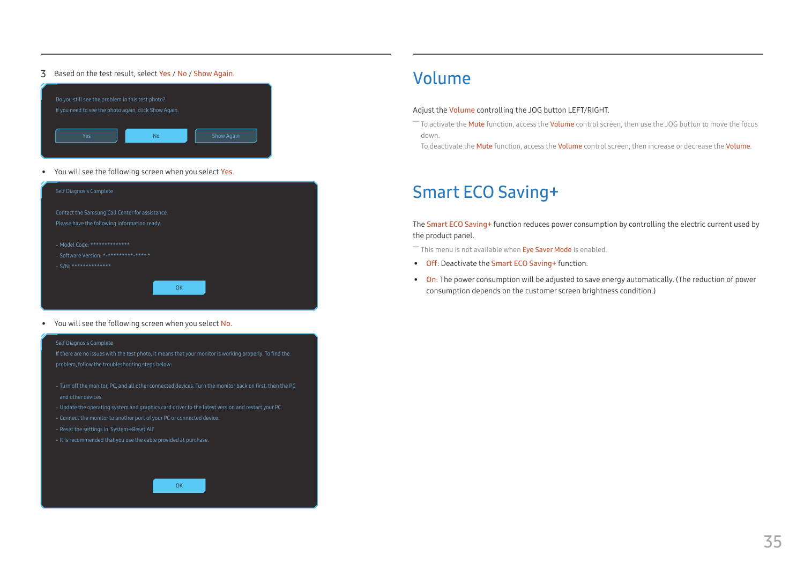#### <span id="page-34-0"></span>3 Based on the test result, select Yes / No / Show Again.



• You will see the following screen when you select Yes.

| Self Diagnosis Complete                                                                                 |
|---------------------------------------------------------------------------------------------------------|
| Contact the Samsung Call Center for assistance.<br>Please have the following information ready:         |
| - Model Code: **************<br>- Software Version: *-***************<br>$-S/N:$ ****************<br>ΩK |

• You will see the following screen when you select No.

#### Self Diagnosis Complete

If there are no issues with the test photo, it means that your monitor is working properly. To find the

- ‐ Turn off the monitor, PC, and all other connected devices. Turn the monitor back on first, then the PC and other devices.
- ‐ Update the operating system and graphics card driver to the latest version and restart your PC.
- ‐ Connect the monitor to another port of your PC or connected device.
- 
- ‐ It is recommended that you use the cable provided at purchase.



# Volume

#### Adjust the Volume controlling the JOG button LEFT/RIGHT.

- $^-$  To activate the **Mute** function, access the **Volume** control screen, then use the JOG button to move the focus down.
- To deactivate the Mute function, access the Volume control screen, then increase or decrease the Volume.

# Smart ECO Saving+

The Smart ECO Saving+ function reduces power consumption by controlling the electric current used by the product panel.

- $-$  This menu is not available when Eye Saver Mode is enabled.
- Off: Deactivate the Smart ECO Saving+ function.
- On: The power consumption will be adjusted to save energy automatically. (The reduction of power consumption depends on the customer screen brightness condition.)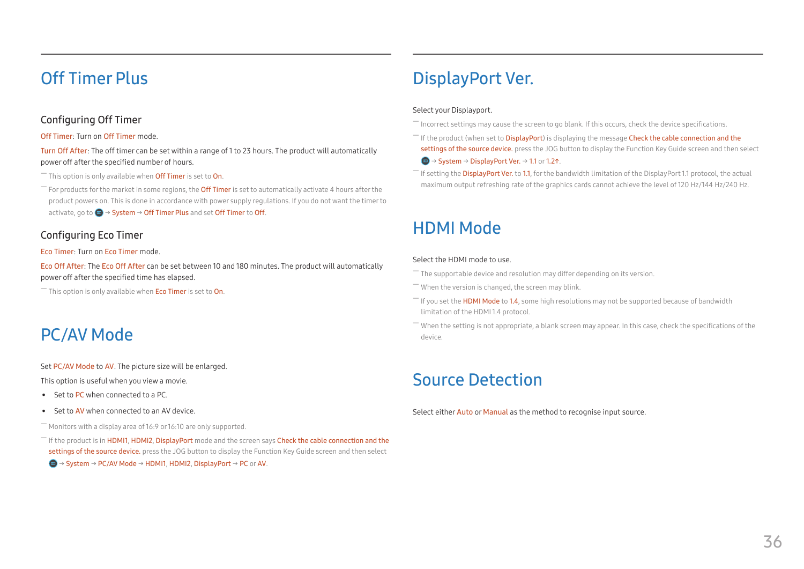# <span id="page-35-0"></span>Off Timer Plus

#### Configuring Off Timer

#### Off Timer: Turn on Off Timer mode.

Turn Off After: The off timer can be set within a range of 1 to 23 hours. The product will automatically power off after the specified number of hours.

 $-$  This option is only available when **Off Timer** is set to **On**.

For products for the market in some regions, the **Off Timer** is set to automatically activate 4 hours after the product powers on. This is done in accordance with power supply regulations. If you do not want the timer to activate, go to  $\bigcirc$   $\rightarrow$  System  $\rightarrow$  Off Timer Plus and set Off Timer to Off.

#### Configuring Eco Timer

#### Eco Timer: Turn on Eco Timer mode.

Eco Off After: The Eco Off After can be set between 10 and 180 minutes. The product will automatically power off after the specified time has elapsed.

 $-$  This option is only available when **Eco Timer** is set to **On**.

# PC/AV Mode

#### Set PC/AV Mode to AV. The picture size will be enlarged.

This option is useful when you view a movie.

- Set to PC when connected to a PC.
- Set to AV when connected to an AV device.

#### $-$  Monitors with a display area of 16:9 or 16:10 are only supported.

<sup>-</sup> If the product is in HDMI1, HDMI2, DisplayPort mode and the screen says Check the cable connection and the settings of the source device. press the JOG button to display the Function Key Guide screen and then select

#### $\textbf{w} \rightarrow$  System  $\rightarrow$  PC/AV Mode  $\rightarrow$  HDMI1, HDMI2, DisplayPort  $\rightarrow$  PC or AV.

# DisplayPort Ver.

#### Select your Displayport.

- ― Incorrect settings may cause the screen to go blank. If this occurs, check the device specifications.
- $-$  If the product (when set to DisplayPort) is displaying the message Check the cable connection and the settings of the source device. press the JOG button to display the Function Key Guide screen and then select  $\textbf{w} \rightarrow$  System  $\rightarrow$  DisplayPort Ver.  $\rightarrow$  1.1 or 1.21.
- $-$  If setting the DisplayPort Ver. to 1.1, for the bandwidth limitation of the DisplayPort 1.1 protocol, the actual maximum output refreshing rate of the graphics cards cannot achieve the level of 120 Hz/144 Hz/240 Hz.

# HDMI Mode

#### Select the HDMI mode to use.

The supportable device and resolution may differ depending on its version.

- ― When the version is changed, the screen may blink.
- $-$  If you set the HDMI Mode to 1.4, some high resolutions may not be supported because of bandwidth limitation of the HDMI 1.4 protocol.
- When the setting is not appropriate, a blank screen may appear. In this case, check the specifications of the device.

# Source Detection

Select either **Auto** or Manual as the method to recognise input source.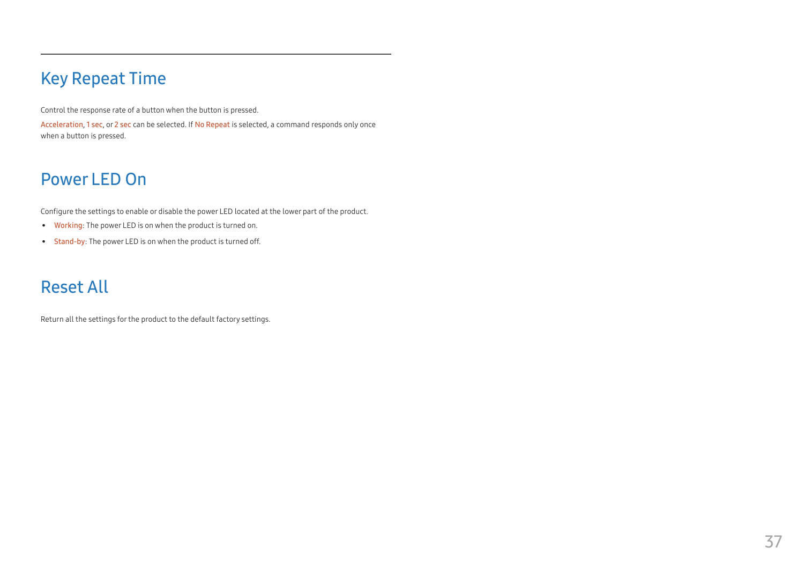# <span id="page-36-0"></span>Key Repeat Time

Control the response rate of a button when the button is pressed.

Acceleration, 1 sec, or 2 sec can be selected. If No Repeat is selected, a command responds only once when a button is pressed.

# Power LED On

Configure the settings to enable or disable the power LED located at the lower part of the product.

- Working: The power LED is on when the product is turned on.
- Stand-by: The power LED is on when the product is turned off.

# Reset All

Return all the settings for the product to the default factory settings.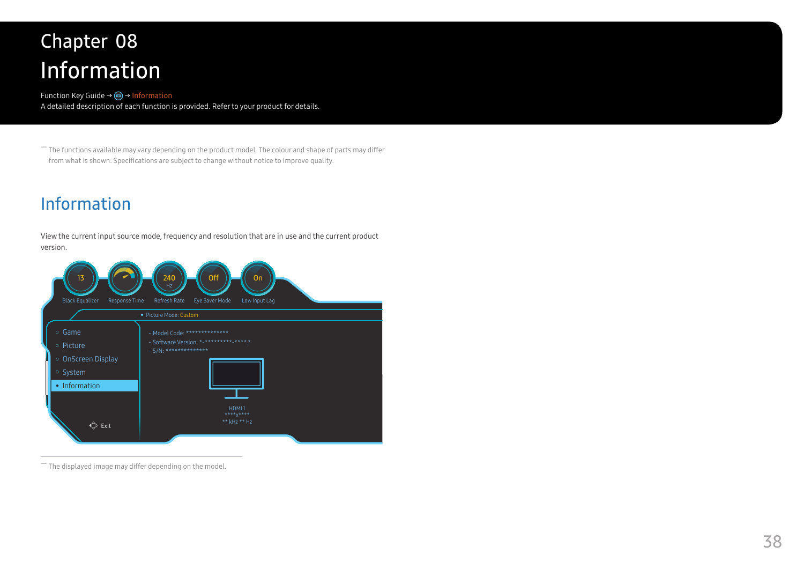# <span id="page-37-0"></span>Information Chapter 08

Function Key Guide → m→ Information A detailed description of each function is provided. Refer to your product for details.

― The functions available may vary depending on the product model. The colour and shape of parts may differ from what is shown. Specifications are subject to change without notice to improve quality.

# Information

View the current input source mode, frequency and resolution that are in use and the current product version.



 $-$  The displayed image may differ depending on the model.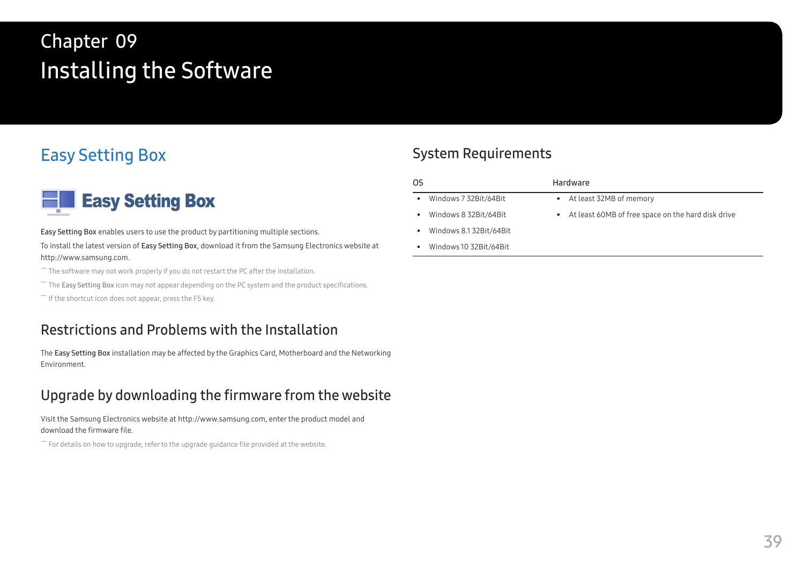# <span id="page-38-0"></span>Installing the Software Chapter 09

# Easy Setting Box



Easy Setting Box enables users to use the product by partitioning multiple sections.

To install the latest version of Easy Setting Box, download it from the Samsung Electronics website at http://www.samsung.com.

― The software may not work properly if you do not restart the PC after the installation.

 $-$  The Easy Setting Box icon may not appear depending on the PC system and the product specifications.

 $-$  If the shortcut icon does not appear, press the F5 key.

# Restrictions and Problems with the Installation

The Easy Setting Box installation may be affected by the Graphics Card, Motherboard and the Networking Environment.

# Upgrade by downloading the firmware from the website

Visit the Samsung Electronics website at http://www.samsung.com, enter the product model and download the firmware file.

 $-$  For details on how to upgrade, refer to the upgrade guidance file provided at the website.

# System Requirements

| OS                                    | Hardware                                             |
|---------------------------------------|------------------------------------------------------|
| Windows 7 32Bit/64Bit<br>$\bullet$    | • At least 32MB of memory                            |
| Windows 8 32Bit/64Bit<br>٠            | • At least 60MB of free space on the hard disk drive |
| Windows 8.1 32Bit/64Bit<br>$\bullet$  |                                                      |
| Windows 10 32 Bit/64 Bit<br>$\bullet$ |                                                      |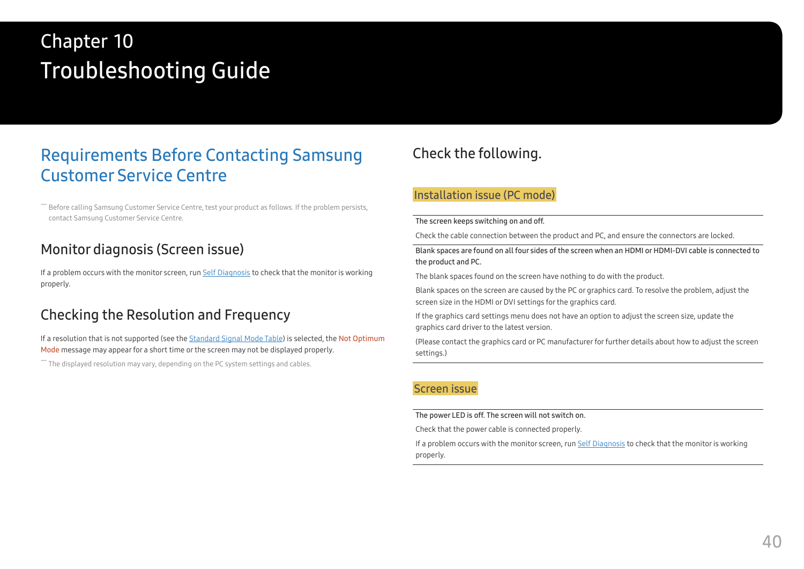# <span id="page-39-0"></span>Troubleshooting Guide Chapter 10

# Requirements Before Contacting Samsung Customer Service Centre

― Before calling Samsung Customer Service Centre, test your product as follows. If the problem persists, contact Samsung Customer Service Centre.

# Monitor diagnosis (Screen issue)

If a problem occurs with the monitor screen, run [Self Diagnosis](#page-33-1) to check that the monitor is working properly.

# Checking the Resolution and Frequency

If a resolution that is not supported (see the [Standard Signal Mode Table\)](#page-43-1) is selected, the Not Optimum Mode message may appear for a short time or the screen may not be displayed properly.

 $-$  The displayed resolution may vary, depending on the PC system settings and cables.

# Check the following.

#### Installation issue (PC mode)

#### The screen keeps switching on and off.

Check the cable connection between the product and PC, and ensure the connectors are locked.

Blank spaces are found on all four sides of the screen when an HDMI or HDMI-DVI cable is connected to the product and PC.

The blank spaces found on the screen have nothing to do with the product.

Blank spaces on the screen are caused by the PC or graphics card. To resolve the problem, adjust the screen size in the HDMI or DVI settings for the graphics card.

If the graphics card settings menu does not have an option to adjust the screen size, update the graphics card driver to the latest version.

(Please contact the graphics card or PC manufacturer for further details about how to adjust the screen settings.)

#### Screen issue

The power LED is off. The screen will not switch on.

Check that the power cable is connected properly.

If a problem occurs with the monitor screen, run [Self Diagnosis](#page-33-1) to check that the monitor is working properly.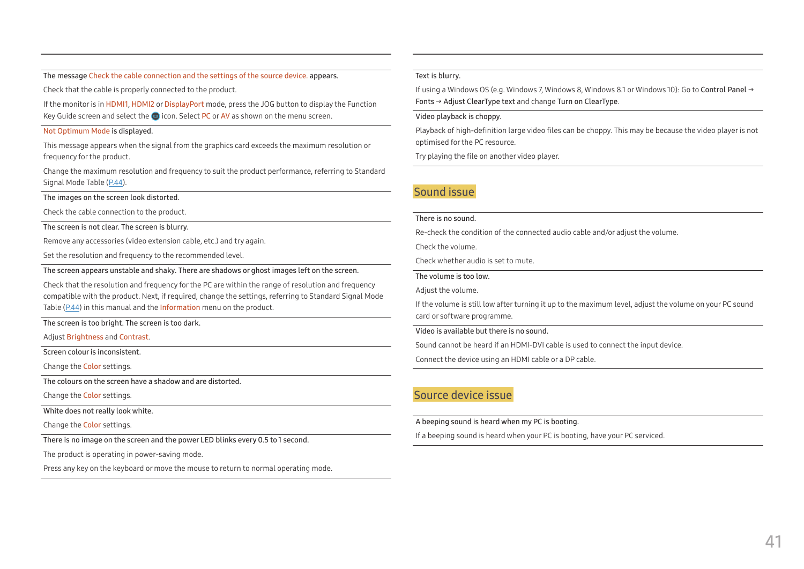The message Check the cable connection and the settings of the source device. appears.

Check that the cable is properly connected to the product.

If the monitor is in HDMI1, HDMI2 or DisplayPort mode, press the JOG button to display the Function Key Guide screen and select the **ig** icon. Select PC or AV as shown on the menu screen.

#### Not Optimum Mode is displayed.

This message appears when the signal from the graphics card exceeds the maximum resolution or frequency for the product.

Change the maximum resolution and frequency to suit the product performance, referring to Standard Signal Mode Table (P[.44](#page-43-1)).

The images on the screen look distorted.

Check the cable connection to the product.

The screen is not clear. The screen is blurry.

Remove any accessories (video extension cable, etc.) and try again.

Set the resolution and frequency to the recommended level.

The screen appears unstable and shaky. There are shadows or ghost images left on the screen.

Check that the resolution and frequency for the PC are within the range of resolution and frequency compatible with the product. Next, if required, change the settings, referring to Standard Signal Mode Table (P[.44](#page-43-1)) in this manual and the Information menu on the product.

The screen is too bright. The screen is too dark.

Adjust Brightness and Contrast.

Screen colour is inconsistent.

Change the Color settings.

The colours on the screen have a shadow and are distorted.

Change the Color settings.

White does not really look white.

Change the Color settings.

There is no image on the screen and the power LED blinks every 0.5 to 1 second.

The product is operating in power-saving mode.

Press any key on the keyboard or move the mouse to return to normal operating mode.

#### Text is blurry.

If using a Windows OS (e.g. Windows 7, Windows 8, Windows 8.1 or Windows 10): Go to Control Panel → Fonts → Adjust ClearType text and change Turn on ClearType.

#### Video playback is choppy.

Playback of high-definition large video files can be choppy. This may be because the video player is not optimised for the PC resource.

Try playing the file on another video player.

#### Sound issue

#### There is no sound.

Re-check the condition of the connected audio cable and/or adjust the volume.

Check the volume.

Check whether audio is set to mute.

The volume is too low.

Adjust the volume.

If the volume is still low after turning it up to the maximum level, adjust the volume on your PC sound card or software programme.

#### Video is available but there is no sound.

Sound cannot be heard if an HDMI-DVI cable is used to connect the input device.

Connect the device using an HDMI cable or a DP cable.

#### Source device issue

#### A beeping sound is heard when my PC is booting.

If a beeping sound is heard when your PC is booting, have your PC serviced.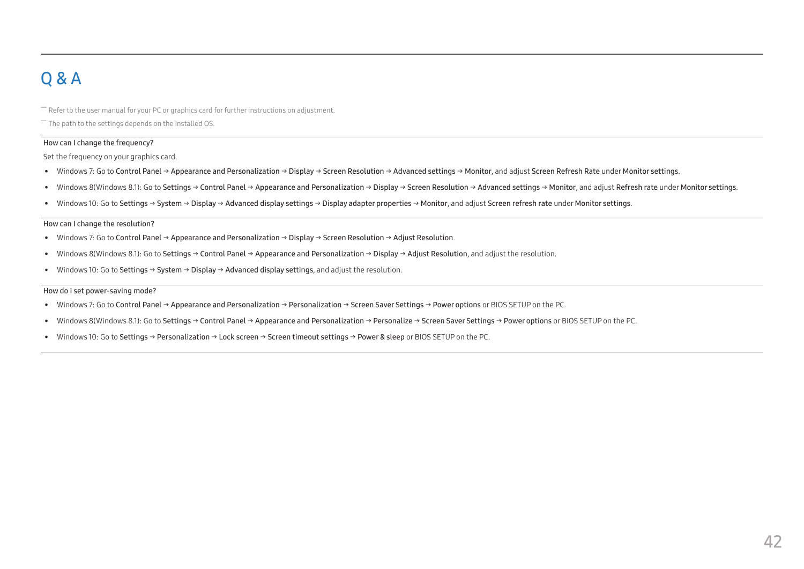# <span id="page-41-0"></span>Q & A

 $-$  Refer to the user manual for your PC or graphics card for further instructions on adjustment.

 $-$  The path to the settings depends on the installed OS.

#### How can I change the frequency?

Set the frequency on your graphics card.

- Windows 7: Go to Control Panel → Appearance and Personalization → Display → Screen Resolution → Advanced settings → Monitor, and adjust Screen Refresh Rate under Monitor settings.
- Windows 8(Windows 8.1): Go to Settings → Control Panel → Appearance and Personalization → Display → Screen Resolution → Advanced settings → Monitor, and adjust Refresh rate under Monitor settings.
- Windows 10: Go to Settings → System → Display → Advanced display settings → Display adapter properties → Monitor, and adjust Screen refresh rate under Monitor settings.

#### <span id="page-41-1"></span>How can I change the resolution?

- Windows 7: Go to Control Panel → Appearance and Personalization → Display → Screen Resolution → Adjust Resolution.
- Windows 8(Windows 8.1): Go to Settings → Control Panel → Appearance and Personalization → Display → Adjust Resolution, and adjust the resolution.
- Windows 10: Go to Settings → System → Display → Advanced display settings, and adjust the resolution.

#### How do I set power-saving mode?

- Windows 7: Go to Control Panel → Appearance and Personalization → Personalization → Screen Saver Settings → Power options or BIOS SETUP on the PC.
- Windows 8(Windows 8.1): Go to Settings → Control Panel → Appearance and Personalization → Personalize → Screen Saver Settings → Power options or BIOS SETUP on the PC.
- Windows 10: Go to Settings → Personalization → Lock screen → Screen timeout settings → Power & sleep or BIOS SETUP on the PC.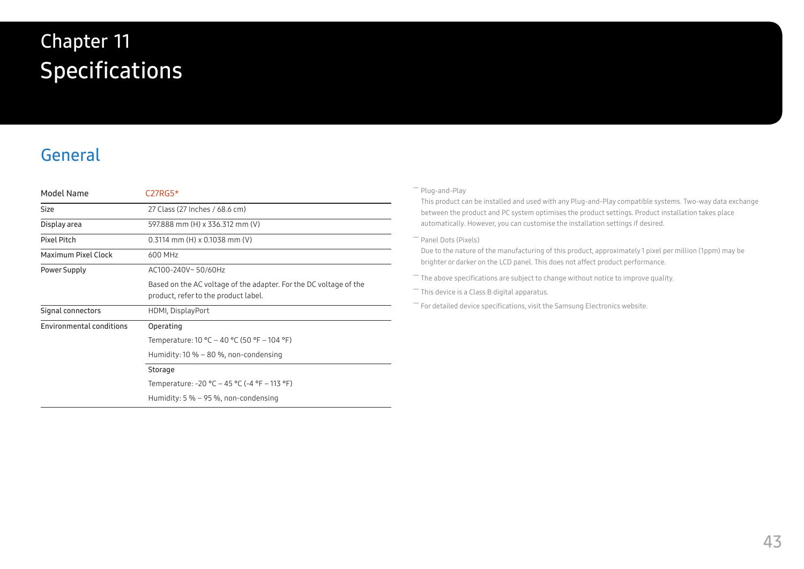# <span id="page-42-0"></span>**Specifications** Chapter 11

# General

| Model Name                      | $C27RG5*$                                                                                                 |  |  |
|---------------------------------|-----------------------------------------------------------------------------------------------------------|--|--|
| <b>Size</b>                     | 27 Class (27 Inches / 68.6 cm)                                                                            |  |  |
| Display area                    | 597.888 mm (H) x 336.312 mm (V)                                                                           |  |  |
| Pixel Pitch                     | $0.3114$ mm (H) x 0.1038 mm (V)                                                                           |  |  |
| Maximum Pixel Clock             | 600 MHz                                                                                                   |  |  |
| Power Supply                    | AC100-240V~50/60Hz                                                                                        |  |  |
|                                 | Based on the AC voltage of the adapter. For the DC voltage of the<br>product, refer to the product label. |  |  |
| Signal connectors               | HDMI, DisplayPort                                                                                         |  |  |
| <b>Environmental conditions</b> | Operating                                                                                                 |  |  |
|                                 | Temperature: $10 °C - 40 °C$ (50 °F - 104 °F)                                                             |  |  |
|                                 | Humidity: $10\% - 80\%$ , non-condensing                                                                  |  |  |
|                                 | Storage                                                                                                   |  |  |
|                                 | Temperature: -20 °C – 45 °C (-4 °F – 113 °F)                                                              |  |  |
|                                 | Humidity: $5\% - 95\%$ , non-condensing                                                                   |  |  |

#### ― Plug-and-Play

This product can be installed and used with any Plug-and-Play compatible systems. Two-way data exchange between the product and PC system optimises the product settings. Product installation takes place automatically. However, you can customise the installation settings if desired.

#### ― Panel Dots (Pixels)

Due to the nature of the manufacturing of this product, approximately 1 pixel per million (1ppm) may be brighter or darker on the LCD panel. This does not affect product performance.

 $-$  The above specifications are subject to change without notice to improve quality.

― This device is a Class B digital apparatus.

― For detailed device specifications, visit the Samsung Electronics website.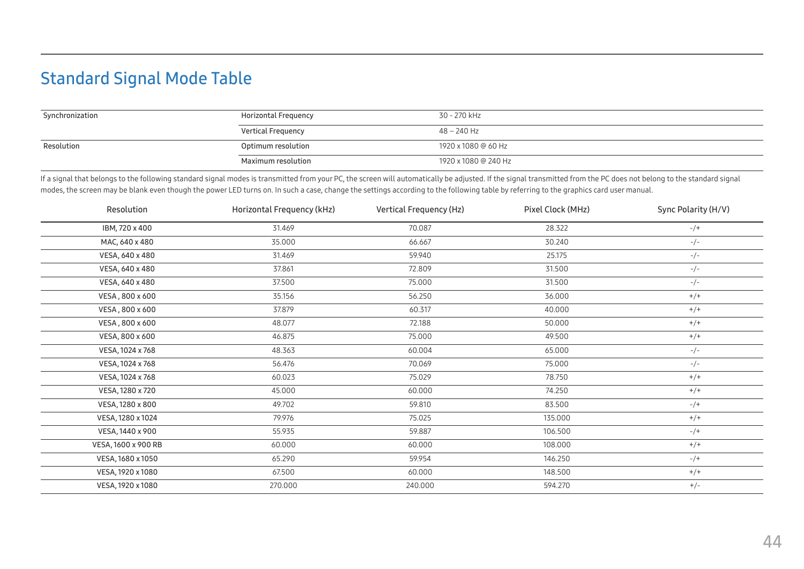# <span id="page-43-1"></span><span id="page-43-0"></span>Standard Signal Mode Table

| Synchronization | Horizontal Frequency      | 30 - 270 kHz         |
|-----------------|---------------------------|----------------------|
|                 | <b>Vertical Frequency</b> | 48 – 240 Hz          |
| Resolution      | Optimum resolution        | 1920 x 1080 @ 60 Hz  |
|                 | Maximum resolution        | 1920 x 1080 @ 240 Hz |

If a signal that belongs to the following standard signal modes is transmitted from your PC, the screen will automatically be adjusted. If the signal transmitted from the PC does not belong to the standard signal modes, the screen may be blank even though the power LED turns on. In such a case, change the settings according to the following table by referring to the graphics card user manual.

| Resolution          | Horizontal Frequency (kHz) | Vertical Frequency (Hz) | Pixel Clock (MHz) | Sync Polarity (H/V) |
|---------------------|----------------------------|-------------------------|-------------------|---------------------|
| IBM, 720 x 400      | 31.469                     | 70.087                  | 28.322            | $-/+$               |
| MAC, 640 x 480      | 35.000                     | 66.667                  | 30.240            | $-/-$               |
| VESA, 640 x 480     | 31.469                     | 59.940                  | 25.175            | $-/-$               |
| VESA, 640 x 480     | 37.861                     | 72.809                  | 31.500            | $-/-$               |
| VESA, 640 x 480     | 37.500                     | 75.000                  | 31.500            | $-/-$               |
| VESA, 800 x 600     | 35.156                     | 56.250                  | 36.000            | $+/+$               |
| VESA, 800 x 600     | 37.879                     | 60.317                  | 40.000            | $+/+$               |
| VESA, 800 x 600     | 48.077                     | 72.188                  | 50.000            | $+/+$               |
| VESA, 800 x 600     | 46.875                     | 75.000                  | 49.500            | $+/+$               |
| VESA, 1024 x 768    | 48.363                     | 60.004                  | 65.000            | $-/-$               |
| VESA, 1024 x 768    | 56.476                     | 70.069                  | 75.000            | $-/-$               |
| VESA, 1024 x 768    | 60.023                     | 75.029                  | 78.750            | $+/+$               |
| VESA, 1280 x 720    | 45.000                     | 60.000                  | 74.250            | $+/+$               |
| VESA, 1280 x 800    | 49.702                     | 59.810                  | 83.500            | $-/+$               |
| VESA, 1280 x 1024   | 79.976                     | 75.025                  | 135.000           | $+/+$               |
| VESA, 1440 x 900    | 55.935                     | 59.887                  | 106.500           | $-/+$               |
| VESA, 1600 x 900 RB | 60.000                     | 60.000                  | 108.000           | $+/+$               |
| VESA, 1680 x 1050   | 65.290                     | 59.954                  | 146.250           | $-/+$               |
| VESA, 1920 x 1080   | 67.500                     | 60.000                  | 148.500           | $+/+$               |
| VESA, 1920 x 1080   | 270.000                    | 240.000                 | 594.270           | $+/-$               |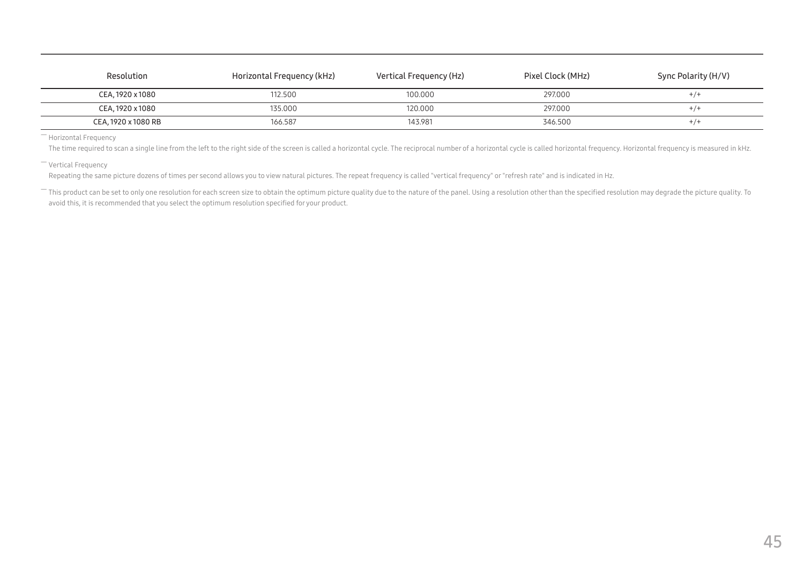| Resolution          | Horizontal Frequency (kHz) | Vertical Frequency (Hz) | Pixel Clock (MHz) | Sync Polarity (H/V) |
|---------------------|----------------------------|-------------------------|-------------------|---------------------|
| CEA, 1920 x 1080    | 112.500                    | 100.000                 | 297.000           | $+/-$               |
| CEA, 1920 x 1080    | 135.000                    | 120,000                 | 297.000           | $+/-$               |
| CEA, 1920 x 1080 RB | 166.587                    | 143.981                 | 346.500           | $+/-$               |

― Horizontal Frequency

The time required to scan a single line from the left to the right side of the screen is called a horizontal cycle. The reciprocal number of a horizontal cycle is called horizontal frequency. Horizontal frequency is measur

― Vertical Frequency

Repeating the same picture dozens of times per second allows you to view natural pictures. The repeat frequency is called "vertical frequency" or "refresh rate" and is indicated in Hz.

- This product can be set to only one resolution for each screen size to obtain the optimum picture quality due to the nature of the panel. Using a resolution other than the specified resolution may degrade the picture qua avoid this, it is recommended that you select the optimum resolution specified for your product.